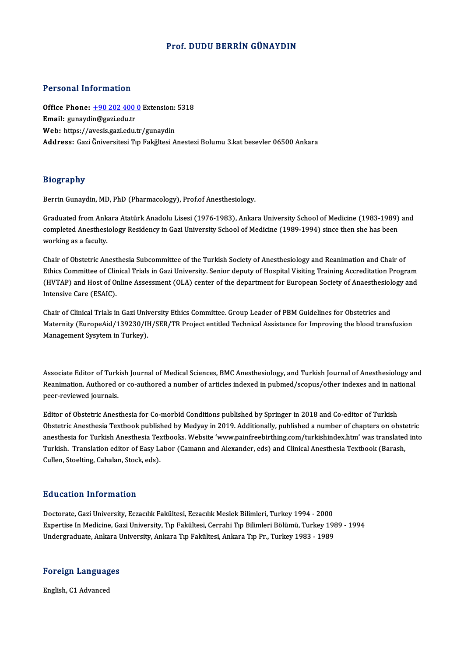#### Prof. DUDU BERRİN GÜNAYDIN

#### Personal Information

Personal Information<br>Office Phone: <u>+90 202 400 0</u> Extension: 5318 office Phone: <u>+90 202 400</u><br>Email: gunaydi[n@gazi.edu.tr](tel:+90 202 400 0)<br>Web. https://avesis.gari.edu.tr Office Phone: <u>+90 202 400 0</u> Extension:<br>Email: gunaydin@gazi.edu.tr<br>Web: https://avesis.gazi.edu.tr/gunaydin Email: gunaydin@gazi.edu.tr<br>Web: https://avesis.gazi.edu.tr/gunaydin<br>Address: Gazi Ğniversitesi Tıp Fakğltesi Anestezi Bolumu 3.kat besevler 06500 Ankara

#### Biography

Berrin Gunaydin, MD, PhD (Pharmacology), Prof.of Anesthesiology.

Graduated from Ankara Atatürk Anadolu Lisesi (1976-1983), Ankara University School of Medicine (1983-1989) and Berrin dunayuni, MB, Filb (Filarmacology), Fronormesuresiology.<br>Graduated from Ankara Atatürk Anadolu Lisesi (1976-1983), Ankara University School of Medicine (1983-1989)<br>working as a faculty. Graduated from Ank<br>completed Anesthesi<br>working as a faculty.

Completed Intestatesiology Residency in dazi oniversity Senoof of Medicine (1909-1994) since then she has been<br>Working as a faculty.<br>Ethics Committee of Clinical Trials in Cari University, Senior deputy of Heepital Visitin working as a raculty.<br>Chair of Obstetric Anesthesia Subcommittee of the Turkish Society of Anesthesiology and Reanimation and Chair of<br>CUVTAD) and Hest of Opline Assessment (OLA) sentor of the department for European Socie Chair of Obstetric Anesthesia Subcommittee of the Turkish Society of Anesthesiology and Reanimation and Chair of<br>Ethics Committee of Clinical Trials in Gazi University. Senior deputy of Hospital Visiting Training Accredita Ethics Committee of Clinical Trials in Gazi University. Senior deputy of Hospital Visiting Training Accreditation Program (HVTAP) and Host of Online Assessment (OLA) center of the department for European Society of Anaesth

Chair of Clinical Trials in Gazi University Ethics Committee. Group Leader of PBM Guidelines for Obstetrics and Maternity (EuropeAid/139230/IH/SER/TR Project entitled Technical Assistance for Improving the blood transfusion Management Sysytem in Turkey).

Associate Editor of Turkish Journal of Medical Sciences, BMC Anesthesiology, and Turkish Journal of Anesthesiology and<br>Peanimation, Authored ar co authored a number of articles indexed in nubmed (scenus (other indexes and Associate Editor of Turkish Journal of Medical Sciences, BMC Anesthesiology, and Turkish Journal of Anesthesiology an<br>Reanimation. Authored or co-authored a number of articles indexed in pubmed/scopus/other indexes and in Associate Editor of Turk<br>Reanimation. Authored ‹<br>peer-reviewed journals. Reanimation. Authored or co-authored a number of articles indexed in pubmed/scopus/other indexes and in national<br>peer-reviewed journals.<br>Editor of Obstetric Anesthesia for Co-morbid Conditions published by Springer in 2018

peer reviewed journals.<br>Editor of Obstetric Anesthesia for Co-morbid Conditions published by Springer in 2018 and Co-editor of Turkish<br>Obstetric Anesthesia Textbook published by Medyay in 2019. Additionally, published a nu Editor of Obstetric Anesthesia for Co-morbid Conditions published by Springer in 2018 and Co-editor of Turkish<br>Obstetric Anesthesia Textbook published by Medyay in 2019. Additionally, published a number of chapters on obst Obstetric Anesthesia Textbook published by Medyay in 2019. Additionally, published a number of chapters on obst<br>anesthesia for Turkish Anesthesia Textbooks. Website 'www.painfreebirthing.com/turkishindex.htm' was translate anesthesia for Turkish Anesthesia Te<mark>z</mark><br>Turkish. Translation editor of Easy L.<br>Cullen, Stoelting, Cahalan, Stock, eds). Cullen, Stoelting, Cahalan, Stock, eds).<br>Education Information

Doctorate, Gazi University, Eczacılık Fakültesi, Eczacılık Meslek Bilimleri, Turkey 1994 - 2000 Expertise Information<br>Doctorate, Gazi University, Eczacılık Fakültesi, Eczacılık Meslek Bilimleri, Turkey 1994 - 2000<br>Expertise In Medicine, Gazi University, Tıp Fakültesi, Cerrahi Tıp Bilimleri Bölümü, Turkey 1989 - 1994<br> Doctorate, Gazi University, Eczacılık Fakültesi, Eczacılık Meslek Bilimleri, Turkey 1994 - 2000<br>Expertise In Medicine, Gazi University, Tıp Fakültesi, Cerrahi Tıp Bilimleri Bölümü, Turkey 198<br>Undergraduate, Ankara Universi

# <sub>ondergraduate, Ankara t<br>Foreign Languages</sub> <mark>Foreign Language</mark><br>English, C1 Advanced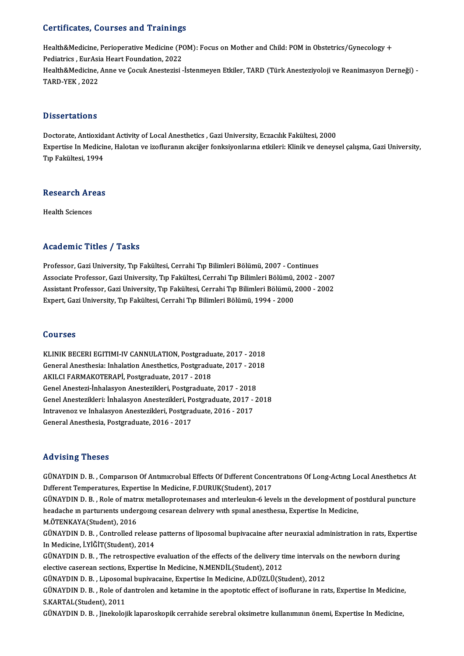#### Certificates, Courses and Trainings

Certificates, Courses and Trainings<br>Health&Medicine, Perioperative Medicine (POM): Focus on Mother and Child: POM in Obstetrics/Gynecology +<br>Redistrics, Eurásia Heart Foundation 2022 Pediatricates, Courses and Trammig.<br>Health&Medicine, Perioperative Medicine (Prediatrics , EurAsia Heart Foundation, 2022 Health&Medicine, Perioperative Medicine (POM): Focus on Mother and Child: POM in Obstetrics/Gynecology +<br>Pediatrics , EurAsia Heart Foundation, 2022<br>Health&Medicine, Anne ve Çocuk Anestezisi -İstenmeyen Etkiler, TARD (Türk Pediatrics , EurAsi<br>Health&Medicine,<br>TARD-YEK , 2022 TARD-YEK, 2022<br>Dissertations

Dissertations<br>Doctorate, Antioxidant Activity of Local Anesthetics , Gazi University, Eczacılık Fakültesi, 2000<br>Evnertice In Medicine, Haletan ve ireflurenya eksiğer fonksivenlerune etkileri; Klinik ve deneve Expertise In Medicine, Halotan ve izofluranın akciğer fonksiyonlarına etkileri: Klinik ve deneysel çalışma, Gazi University,<br>Tıp Fakültesi, 1994 Doctorate, Antioxid:<br>Expertise In Medicir<br>Tıp Fakültesi, 1994

# 11p rakuttesi, 1994<br>Research Areas R<mark>esearch Ar</mark><br>Health Sciences

# Academic Titles / Tasks

Professor, Gazi University, Tıp Fakültesi, Cerrahi Tıp Bilimleri Bölümü, 2007 - Continues Associate Professor, Gazi University, Tıp Fakültesi, Cerrahi Tıp Bilimleri Bölümü, 2002 - 2007 Professor, Gazi University, Tıp Fakültesi, Cerrahi Tıp Bilimleri Bölümü, 2007 - Continues<br>Associate Professor, Gazi University, Tıp Fakültesi, Cerrahi Tıp Bilimleri Bölümü, 2002 - 2007<br>Assistant Professor, Gazi University, Associate Professor, Gazi University, Tıp Fakültesi, Cerrahi Tıp Bilimleri Bölümü,<br>Assistant Professor, Gazi University, Tıp Fakültesi, Cerrahi Tıp Bilimleri Bölümü, .<br>Expert, Gazi University, Tıp Fakültesi, Cerrahi Tıp Bi Expert, Gazi University, Tıp Fakültesi, Cerrahi Tıp Bilimleri Bölümü, 1994 - 2000<br>Courses

Courses<br>KLINIK BECERI EGITIMI-IV CANNULATION, Postgraduate, 2017 - 2018<br>Canaral Anasthasia: Inhalation Anasthatics, Rastgraduate, 2017 - 2018 SOUTSSS<br>KLINIK BECERI EGITIMI-IV CANNULATION, Postgraduate, 2017 - 2018<br>General Anesthesia: Inhalation Anesthetics, Postgraduate, 2017 - 2018<br>AKU CLEARMAKOTERARI, Postgraduate, 2017 - 2019 AKILCI FARMAKOTERAPİ, Postgraduate, 2017 - 2018 General Anesthesia: Inhalation Anesthetics, Postgraduate, 2017 - 2018<br>AKILCI FARMAKOTERAPİ, Postgraduate, 2017 - 2018<br>Genel Anestezi-İnhalasyon Anestezikleri, Postgraduate, 2017 - 2018<br>Genel Anestezikleri: İnhalasyon Anest AKILCI FARMAKOTERAPİ, Postgraduate, 2017 - 2018<br>Genel Anestezi-İnhalasyon Anestezikleri, Postgraduate, 2017 - 2018<br>Genel Anestezikleri: İnhalasyon Anestezikleri, Postgraduate, 2017 - 2018<br>Intravanor ve Inhalasyon Anestezik Genel Anestezi-İnhalasyon Anestezikleri, Postgraduate, 2017 - 2018<br>Genel Anestezikleri: İnhalasyon Anestezikleri, Postgraduate, 2017 -<br>Intravenoz ve Inhalasyon Anestezikleri, Postgraduate, 2016 - 2017<br>Ceneral Anesthesia, P Intravenoz ve Inhalasyon Anestezikleri, Postgraduate, 2016 - 2017<br>General Anesthesia, Postgraduate, 2016 - 2017

#### Advising Theses

Advising Theses<br>GÜNAYDIN D. B. , Comparıson Of Antımıcrobıal Effects Of Dıfferent Concentrations Of Long-Acting Local Anesthetics At<br>Different Temperatures, Eupertise In Medisine, E DUPLIK(Student), 2017 rea vienig "ricece"<br>GÜNAYDIN D. B. , Comparison Of Antimicrobial Effects Of Different Conce:<br>Different Temperatures, Expertise In Medicine, F.DURUK(Student), 2017<br>CÜNAYDIN D. B., Bols of matriis metallenretsinesses and int GÜNAYDIN D. B. , Comparison Of Antimicrobial Effects Of Different Concentrations Of Long-Acting Local Anesthetics At<br>Different Temperatures, Expertise In Medicine, F.DURUK(Student), 2017<br>GÜNAYDIN D. B. , Role of matrix met Different Temperatures, Expertise In Medicine, F.DURUK(Student), 2017<br>GÜNAYDIN D. B. , Role of matrix metalloproteinases and interleukin-6 levels in the development of p<br>headache in parturients undergoing cesarean delivery

GÜNAYDIN D. B. , Role of matr<br>headache in parturients under<br>M.ÖTENKAYA(Student), 2016<br>CÜNAYDIN D. B., Controlled r headache in parturients undergoing cesarean delivery with spinal anesthesia, Expertise In Medicine,<br>M.ÖTENKAYA(Student), 2016<br>GÜNAYDIN D. B. , Controlled release patterns of liposomal bupivacaine after neuraxial administra

M.ÖTENKAYA(Student), 2016<br>GÜNAYDIN D. B. , Controlled release<br>In Medicine, İ.YİĞİT(Student), 2014<br>GÜNAYDIN D. B. - The retrespective GÜNAYDIN D. B. , Controlled release patterns of liposomal bupivacaine after neuraxial administration in rats, Expe<br>In Medicine, İ.YİĞİT(Student), 2014<br>GÜNAYDIN D. B. , The retrospective evaluation of the effects of the del

In Medicine, İ.YİĞİT(Student), 2014<br>GÜNAYDIN D. B. , The retrospective evaluation of the effects of the delivery t<br>elective caserean sections, Expertise In Medicine, N.MENDİL(Student), 2012<br>CÜNAYDIN D. B. , Linessmal buniv GÜNAYDIN D. B. , The retrospective evaluation of the effects of the delivery time intervals elective caserean sections, Expertise In Medicine, N.MENDİL(Student), 2012<br>GÜNAYDIN D. B. , Liposomal bupivacaine, Expertise In Me

elective caserean sections, Expertise In Medicine, N.MENDİL(Student), 2012<br>GÜNAYDIN D. B. , Liposomal bupivacaine, Expertise In Medicine, A.DÜZLÜ(Student), 2012<br>GÜNAYDIN D. B. , Role of dantrolen and ketamine in the apopto GÜNAYDIN D. B. , Liposom<br>GÜNAYDIN D. B. , Role of d<br>S.KARTAL(Student), 2011<br>CÜNAYDIN D. B. , Lingkalai GÜNAYDIN D. B. , Role of dantrolen and ketamine in the apoptotic effect of isoflurane in rats, Expertise In Medicine<br>S.KARTAL(Student), 2011<br>GÜNAYDIN D. B. , Jinekolojik laparoskopik cerrahide serebral oksimetre kullanımın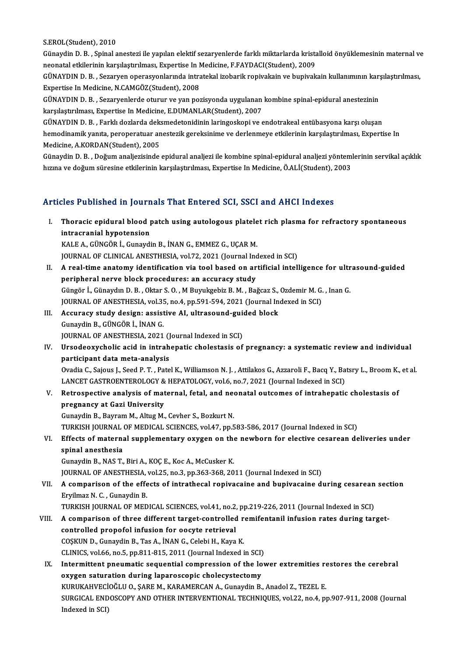S.EROL(Student),2010

S.EROL(Student), 2010<br>Günaydin D. B. , Spinal anestezi ile yapılan elektif sezaryenlerde farklı miktarlarda kristalloid önyüklemesinin maternal ve<br>Peanatal ethilorinin kanalastrulması, Evnortias In Madisine, E EAVDACI(Stud S.EROL(Student), 2010<br>Günaydin D. B. , Spinal anestezi ile yapılan elektif sezaryenlerde farklı miktarlarda krista<br>neonatal etkilerinin karşılaştırılması, Expertise In Medicine, F.FAYDACI(Student), 2009<br>CÜNAYDIN D. B. . Se Günaydin D. B. , Spinal anestezi ile yapılan elektif sezaryenlerde farklı miktarlarda kristalloid önyüklemesinin maternal ve neonatal etkilerinin karşılaştırılması, Expertise In Medicine, F.FAYDACI(Student), 2009<br>GÜNAYDIN

neonatal etkilerinin karşılaştırılması, Expertise In Medi<br>GÜNAYDIN D. B. , Sezaryen operasyonlarında intra<br>Expertise In Medicine, N.CAMGÖZ(Student), 2008<br>GÜNAYDIN D. B. Sezaryonlarda etyrur ve yan peç GÜNAYDIN D. B. , Sezaryen operasyonlarında intratekal izobarik ropivakain ve bupivakain kullanımının karş<br>Expertise In Medicine, N.CAMGÖZ(Student), 2008<br>GÜNAYDIN D. B. , Sezaryenlerde oturur ve yan pozisyonda uygulanan kom

Expertise In Medicine, N.CAMGÖZ(Student), 2008<br>GÜNAYDIN D. B. , Sezaryenlerde oturur ve yan pozisyonda uygulanan<br>karşılaştırılması, Expertise In Medicine, E.DUMANLAR(Student), 2007<br>GÜNAYDIN D. B. - Farklı darlarda dekamede GÜNAYDIN D. B. , Sezaryenlerde oturur ve yan pozisyonda uygulanan kombine spinal-epidural anestezinin<br>karşılaştırılması, Expertise In Medicine, E.DUMANLAR(Student), 2007<br>GÜNAYDIN D. B. , Farklı dozlarda deksmedetonidinin l

karşılaştırılması, Expertise In Medicine, E.DUMANLAR(Student), 2007<br>GÜNAYDIN D. B. , Farklı dozlarda deksmedetonidinin laringoskopi ve endotrakeal entübasyona karşı oluşan<br>hemodinamik yanıta, peroperatuar anestezik gereksi GÜNAYDIN D. B. , Farklı dozlarda dek:<br>hemodinamik yanıta, peroperatuar an<br>Medicine, A.KORDAN(Student), 2005<br>Günaydin D. B., Doğum analiegisinde hemodinamik yanıta, peroperatuar anestezik gereksinime ve derlenmeye etkilerinin karşılaştırılması, Expertise In<br>Medicine, A.KORDAN(Student), 2005<br>Günaydin D. B. , Doğum analjezisinde epidural analjezi ile kombine spinal-e

Medicine, A.KORDAN(Student), 2005<br>Günaydin D. B. , Doğum analjezisinde epidural analjezi ile kombine spinal-epidural analjezi yöntemlerinin servikal açıklık<br>hızına ve doğum süresine etkilerinin karşılaştırılması, Expertise

#### Articles Published in Journals That Entered SCI, SSCI and AHCI Indexes

I. Thoracic epidural blood patch using autologous platelet rich plasma for refractory spontaneous intracranial hypotension<br>KALE A., GÜNGÖR İ., Gunaydin B., İNAN G., EMMEZ G., UCAR M. Thoracic epidural blood patch using autologous platele<br>intracranial hypotension<br>KALE A., GÜNGÖR İ., Gunaydin B., İNAN G., EMMEZ G., UÇAR M.<br>JOUPNAL OE GLINICAL ANESTHESIA .vəl.72.2021 (Journal Ind intracranial hypotension<br>KALE A., GÜNGÖR İ., Gunaydin B., İNAN G., EMMEZ G., UÇAR M.<br>JOURNAL OF CLINICAL ANESTHESIA, vol.72, 2021 (Journal Indexed in SCI)<br>A.roal time anatemy identification via tool based en artificial int

- II. A real-time anatomy identification via tool based on artificial intelligence for ultrasound-guided<br>peripheral nerve block procedures: an accuracy study JOURNAL OF CLINICAL ANESTHESIA, vol.72, 2021 (Journal Inc<br>A real-time anatomy identification via tool based on ar<br>peripheral nerve block procedures: an accuracy study<br>Cüngör <sup>I</sup>. Cünavdur D. B., Oktar S. O., M. Buunksphiz A real-time anatomy identification via tool based on artificial intelligence for ultr<br>peripheral nerve block procedures: an accuracy study<br>Güngör İ., Günaydın D. B. , Oktar S. O. , M Buyukgebiz B. M. , Bağcaz S., Ozdemir M peripheral nerve block procedures: an accuracy study<br>Güngör İ., Günaydın D. B. , Oktar S. O. , M Buyukgebiz B. M. , Bağcaz S., Ozdemir M. G.<br>JOURNAL OF ANESTHESIA, vol.35, no.4, pp.591-594, 2021 (Journal Indexed in SCI)<br>Ac JOURNAL OF ANESTHESIA, vol.35, no.4, pp.591-594, 2021 (Journal Indexed in SCI)<br>III. Accuracy study design: assistive AI, ultrasound-guided block
- GunaydinB.,GÜNGÖRİ., İNANG. Accuracy study design: assistive AI, ultrasound-guid<br>Gunaydin B., GÜNGÖR İ., İNAN G.<br>JOURNAL OF ANESTHESIA, 2021 (Journal Indexed in SCI)<br>Ursedeevyahelis esid in intrehenetis shelestasis ef
- IV. Ursodeoxycholic acid in intrahepatic cholestasis of pregnancy: a systematic reviewand individual JOURNAL OF ANESTHESIA, 2021 (J<br>Ursodeoxycholic acid in intrah<br>participant data meta-analysis<br>Ovadia C. Scieve J. Seed B.T., Bete Ursodeoxycholic acid in intrahepatic cholestasis of pregnancy: a systematic review and individual<br>participant data meta-analysis<br>Ovadia C., Sajous J., Seed P. T. , Patel K., Williamson N. J. , Attilakos G., Azzaroli F., Ba

participant data meta-analysis<br>Ovadia C., Sajous J., Seed P. T. , Patel K., Williamson N. J. , Attilakos G., Azzaroli F., Bacq Y., Ba<br>LANCET GASTROENTEROLOGY & HEPATOLOGY, vol.6, no.7, 2021 (Journal Indexed in SCI)<br>Petresp Ovadia C., Sajous J., Seed P. T. , Patel K., Williamson N. J. , Attilakos G., Azzaroli F., Bacq Y., Batsry L., Broom K.,<br>LANCET GASTROENTEROLOGY & HEPATOLOGY, vol.6, no.7, 2021 (Journal Indexed in SCI)<br>V. Retrospective ana

# LANCET GASTROENTEROLOGY & HEPATOLOGY, vol.6, no.7, 2021 (Journal Indexed in SCI)<br>V. Retrospective analysis of maternal, fetal, and neonatal outcomes of intrahepatic cholestasis of<br>pregnancy at Gazi University GunaydinB.,BayramM.,AltugM.,Cevher S.,BozkurtN.

TURKISH JOURNAL OF MEDICAL SCIENCES, vol.47, pp.583-586, 2017 (Journal Indexed in SCI)

### Gunaydin B., Bayram M., Altug M., Cevher S., Bozkurt N.<br>TURKISH JOURNAL OF MEDICAL SCIENCES, vol.47, pp.583-586, 2017 (Journal Indexed in SCI)<br>VI. Effects of maternal supplementary oxygen on the newborn for elective cesare TURKISH JOURNAL<br>Effects of materna<br>spinal anesthesia<br>Cunavdin B - NAS T Effects of maternal supplementary oxygen on the<br>spinal anesthesia<br>Gunaydin B., NAS T., Biri A., KOÇ E., Koc A., McCusker K.<br>JOUPNAL OF ANESTHESIA, vol.25, no.2, np.262,268,20 spinal anesthesia<br>Gunaydin B., NAS T., Biri A., KOÇ E., Koc A., McCusker K.<br>JOURNAL OF ANESTHESIA, vol.25, no.3, pp.363-368, 2011 (Journal Indexed in SCI)<br>A comportion of the effects of intrathesel repittessine and hunites

# Gunaydin B., NAS T., Biri A., KOÇ E., Koc A., McCusker K.<br>JOURNAL OF ANESTHESIA, vol.25, no.3, pp.363-368, 2011 (Journal Indexed in SCI)<br>VII. A comparison of the effects of intrathecal ropivacaine and bupivacaine during ce **JOURNAL OF ANESTHESIA,<br>A comparison of the effe<br>Eryilmaz N. C. , Gunaydin B.<br>TURKISH JOURNAL OF MED** A comparison of the effects of intrathecal ropivacaine and bupivacaine during cesarean<br>Eryilmaz N. C. , Gunaydin B.<br>TURKISH JOURNAL OF MEDICAL SCIENCES, vol.41, no.2, pp.219-226, 2011 (Journal Indexed in SCI)<br>A comparison

TURKISH JOURNAL OF MEDICAL SCIENCES, vol.41, no.2, pp.219-226, 2011 (Journal Indexed in SCI)

- Eryilmaz N. C. , Gunaydin B.<br>TURKISH JOURNAL OF MEDICAL SCIENCES, vol.41, no.2, pp.219-226, 2011 (Journal Indexed in SCI)<br>VIII. A comparison of three different target-controlled remifentanil infusion rates during target-<br>c COŞKUN D., Gunaydin B., Tas A., İNAN G., Celebi H., Kaya K. CLINICS, vol.66, no.5, pp.811-815, 2011 (Journal Indexed in SCI) CO\$KUN D., Gunaydin B., Tas A., İNAN G., Celebi H., Kaya K.<br>CLINICS, vol.66, no.5, pp.811-815, 2011 (Journal Indexed in SCI)<br>IX. Intermittent pneumatic sequential compression of the lower extremities restores the cerebral<br>
- CLINICS, vol.66, no.5, pp.811-815, 2011 (Journal Indexed in SCI)<br>Intermittent pneumatic sequential compression of the lo<br>oxygen saturation during laparoscopic cholecystectomy<br>FURILLAHVECIOČLU O SAREM, KARAMERCANA, Cunsudin oxygen saturation during laparoscopic cholecystectomy<br>KURUKAHVECİOĞLU O., ŞARE M., KARAMERCAN A., Gunaydin B., Anadol Z., TEZEL E. oxygen saturation during laparoscopic cholecystectomy<br>KURUKAHVECİOĞLU O., ŞARE M., KARAMERCAN A., Gunaydin B., Anadol Z., TEZEL E.<br>SURGICAL ENDOSCOPY AND OTHER INTERVENTIONAL TECHNIQUES, vol.22, no.4, pp.907-911, 2008 (Jou KURUKAHVECİ<br>SURGICAL END<br>Indexed in SCI)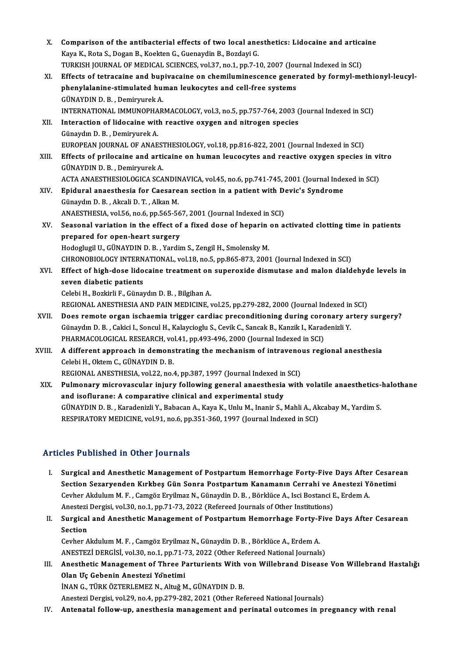| Х.     | Comparison of the antibacterial effects of two local anesthetics: Lidocaine and articaine                                                                                     |
|--------|-------------------------------------------------------------------------------------------------------------------------------------------------------------------------------|
|        | Kaya K., Rota S., Dogan B., Koekten G., Guenaydin B., Bozdayi G.                                                                                                              |
|        | TURKISH JOURNAL OF MEDICAL SCIENCES, vol.37, no.1, pp.7-10, 2007 (Journal Indexed in SCI)                                                                                     |
| XI.    | Effects of tetracaine and bupivacaine on chemiluminescence generated by formyl-methionyl-leucyl-                                                                              |
|        | phenylalanine-stimulated human leukocytes and cell-free systems                                                                                                               |
|        | GÜNAYDIN D. B., Demiryurek A.                                                                                                                                                 |
|        | INTERNATIONAL IMMUNOPHARMACOLOGY, vol.3, no.5, pp.757-764, 2003 (Journal Indexed in SCI)                                                                                      |
| XII.   | Interaction of lidocaine with reactive oxygen and nitrogen species                                                                                                            |
|        | Günaydın D.B., Demiryurek A.                                                                                                                                                  |
|        | EUROPEAN JOURNAL OF ANAESTHESIOLOGY, vol.18, pp.816-822, 2001 (Journal Indexed in SCI)                                                                                        |
| XIII.  | Effects of prilocaine and articaine on human leucocytes and reactive oxygen species in vitro                                                                                  |
|        | GÜNAYDIN D. B., Demiryurek A.                                                                                                                                                 |
|        | ACTA ANAESTHESIOLOGICA SCANDINAVICA, vol.45, no.6, pp.741-745, 2001 (Journal Indexed in SCI)                                                                                  |
| XIV.   | Epidural anaesthesia for Caesarean section in a patient with Devic's Syndrome                                                                                                 |
|        | Günaydın D. B., Akcali D. T., Alkan M.                                                                                                                                        |
|        | ANAESTHESIA, vol.56, no.6, pp.565-567, 2001 (Journal Indexed in SCI)                                                                                                          |
| XV.    | Seasonal variation in the effect of a fixed dose of heparin on activated clotting time in patients                                                                            |
|        | prepared for open-heart surgery                                                                                                                                               |
|        | Hodoglugil U., GÜNAYDIN D. B., Yardim S., Zengil H., Smolensky M.                                                                                                             |
|        | CHRONOBIOLOGY INTERNATIONAL, vol.18, no.5, pp.865-873, 2001 (Journal Indexed in SCI)                                                                                          |
| XVI.   | Effect of high-dose lidocaine treatment on superoxide dismutase and malon dialdehyde levels in                                                                                |
|        | seven diabetic patients                                                                                                                                                       |
|        | Celebi H., Bozkirli F., Günaydın D. B., Bilgihan A.                                                                                                                           |
|        | REGIONAL ANESTHESIA AND PAIN MEDICINE, vol.25, pp.279-282, 2000 (Journal Indexed in SCI)                                                                                      |
| XVII.  | Does remote organ ischaemia trigger cardiac preconditioning during coronary artery surgery?                                                                                   |
|        | Günaydın D. B., Cakici I., Soncul H., Kalaycioglu S., Cevik C., Sancak B., Kanzik I., Karadenizli Y.                                                                          |
|        | PHARMACOLOGICAL RESEARCH, vol.41, pp.493-496, 2000 (Journal Indexed in SCI)                                                                                                   |
| XVIII. | A different approach in demonstrating the mechanism of intravenous regional anesthesia                                                                                        |
|        | Celebi H., Oktem C., GÜNAYDIN D. B.                                                                                                                                           |
| XIX.   | REGIONAL ANESTHESIA, vol.22, no.4, pp.387, 1997 (Journal Indexed in SCI)<br>Pulmonary microvascular injury following general anaesthesia with volatile anaesthetics-halothane |
|        | and isoflurane: A comparative clinical and experimental study                                                                                                                 |
|        | GÜNAYDIN D. B., Karadenizli Y., Babacan A., Kaya K., Unlu M., Inanir S., Mahli A., Akcabay M., Yardim S.                                                                      |
|        | RESPIRATORY MEDICINE, vol.91, no.6, pp.351-360, 1997 (Journal Indexed in SCI)                                                                                                 |
|        |                                                                                                                                                                               |

#### Articles Published in Other Journals

- rticles Published in Other Journals<br>I. Surgical and Anesthetic Management of Postpartum Hemorrhage Forty-Five Days After Cesarean<br>Section Segarwanden Kurkbes Cün Senra Bestpartum Kanamanın Cerrabi ve Anesteri Vänetimi Sectival and Anesthetic Management of Postpartum Hemorrhage Forty-Five Days After Cesare<br>Section Sezaryenden Kırkbeş Gün Sonra Postpartum Kanamanın Cerrahi ve Anestezi Yönetimi<br>Ceyber Aldulum M.E. Cemsës Ewilmas N. Cünaydi Surgical and Anesthetic Management of Postpartum Hemorrhage Forty-Five Days After<br>Section Sezaryenden Kırkbeş Gün Sonra Postpartum Kanamanın Cerrahi ve Anestezi Ye<br>Cevher Akdulum M. F. , Camgöz Eryilmaz N., Günaydin D. B. Section Sezaryenden Kırkbeş Gün Sonra Postpartum Kanamanın Cerrahi ve A<br>Cevher Akdulum M. F. , Camgöz Eryilmaz N., Günaydin D. B. , Börklüce A., Isci Bostanci I<br>Anestezi Dergisi, vol.30, no.1, pp.71-73, 2022 (Refereed Jour Cevher Akdulum M. F. , Camgöz Eryilmaz N., Günaydin D. B. , Börklüce A., Isci Bostanci E., Erdem A.<br>Anestezi Dergisi, vol.30, no.1, pp.71-73, 2022 (Refereed Journals of Other Institutions)<br>II. Surgical and Anesthetic Manag
- Anestezi<br>Surgical<br>Section<br>Ceyber A Surgical and Anesthetic Management of Postpartum Hemorrhage Forty-F<br>Section<br>Cevher Akdulum M. F. , Camgöz Eryilmaz N., Günaydin D. B. , Börklüce A., Erdem A.<br>ANESTEZI DERGISL val 30, no.1, np.71.73.2022 (Other Refereed Nat Section<br>Cevher Akdulum M. F. , Camgöz Eryilmaz N., Günaydin D. B. , Börklüce A., Erdem A.<br>ANESTEZİ DERGİSİ, vol.30, no.1, pp.71-73, 2022 (Other Refereed National Journals)<br>Anesthetis Management of Three Berturiants With vo

### Cevher Akdulum M. F. , Camgöz Eryilmaz N., Günaydin D. B. , Börklüce A., Erdem A.<br>ANESTEZİ DERGİSİ, vol.30, no.1, pp.71-73, 2022 (Other Refereed National Journals)<br>III. Anesthetic Management of Three Parturients With von W ANESTEZİ DERGİSİ, vol.30, no.1, pp.71-7<br>Anesthetic Management of Three P<br>Olan Uç Gebenin Anestezi Yönetimi<br>İNAN C. TÜRK ÖZTERLEMEZ N. Altığ M Anesthetic Management of Three Parturients With<br>Olan Uç Gebenin Anestezi Yönetimi<br>İNAN G., TÜRK ÖZTERLEMEZ N., Altuğ M., GÜNAYDIN D. B.<br>Anesteri Dergisi val 29. no.4. np. 279. 292. 2921 (Other Bet Olan Uç Gebenin Anestezi Yönetimi<br>İNAN G., TÜRK ÖZTERLEMEZ N., Altuğ M., GÜNAYDIN D. B.<br>Anestezi Dergisi, vol.29, no.4, pp.279-282, 2021 (Other Refereed National Journals)

IV. Antenatal follow-up, anesthesia management and perinatal outcomes in pregnancy with renal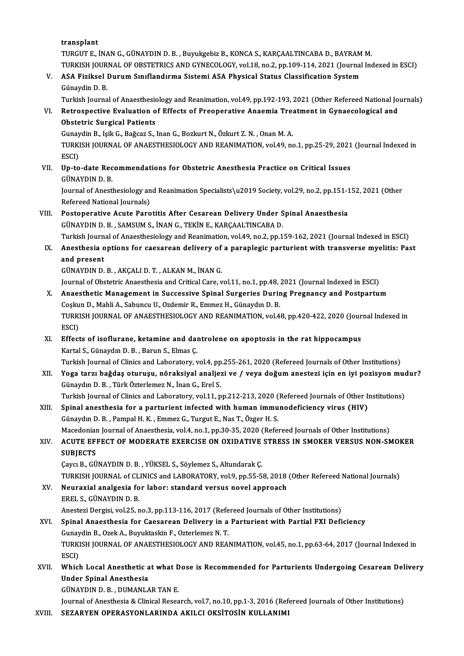transplant

TURGUTE., İNANG.,GÜNAYDIND.B. ,BuyukgebizB.,KONCAS.,KARÇAALTINCABAD.,BAYRAMM. transplant<br>TURGUT E., İNAN G., GÜNAYDIN D. B. , Buyukgebiz B., KONCA S., KARÇAALTINCABA D., BAYRAM M.<br>TURKISH JOURNAL OF OBSTETRICS AND GYNECOLOGY, vol.18, no.2, pp.109-114, 2021 (Journal Indexed in ESCI)<br>ASA Firikasl Dunu

## V. ASA Fiziksel Durum Sınıflandırma Sistemi ASA Physical Status Classification System<br>Günaydin D. B. TURKISH JOUR<br><mark>ASA Fiziksel</mark> l<br>Günaydin D. B.<br>Turkish Journa

Turkish Journal of Anaesthesiology and Reanimation, vol.49, pp.192-193, 2021 (Other Refereed National Journals)

# Günaydin D. B.<br>Turkish Journal of Anaesthesiology and Reanimation, vol.49, pp.192-193, 2021 (Other Refereed National Jo<br>VI. Retrospective Evaluation of Effects of Preoperative Anaemia Treatment in Gynaecological and<br>Ob Turkish Journal of Anaesthesic<br>Retrospective Evaluation of<br>Obstetric Surgical Patients<br>Cunavdin B. Jaik C. Bağcar S. J Retrospective Evaluation of Effects of Preoperative Anaemia Trea<br>Obstetric Surgical Patients<br>Gunaydin B., Işik G., Bağcaz S., Inan G., Bozkurt N., Özkurt Z. N. , Onan M. A.<br>TURKISH JOURNAL OF ANAESTHESIOLOCY AND REANIMATIO

Obstetric Surgical Patients<br>Gunaydin B., Işik G., Bağcaz S., Inan G., Bozkurt N., Özkurt Z. N. , Onan M. A.<br>TURKISH JOURNAL OF ANAESTHESIOLOGY AND REANIMATION, vol.49, no.1, pp.25-29, 2021 (Journal Indexed in<br>ESCD Gunay<br>TURKI<br>ESCI)<br><sup>Hn</sup>rte TURKISH JOURNAL OF ANAESTHESIOLOGY AND REANIMATION, vol.49, no.1, pp.25-29, 2021<br>ESCI)<br>VII. Up-to-date Recommendations for Obstetric Anesthesia Practice on Critical Issues<br>CÜNAYDIN D-B

# ESCI)<br>VII. Up-to-date Recommendations for Obstetric Anesthesia Practice on Critical Issues<br>GÜNAYDIN D. B. Up-to-date Recommendations for Obstetric Anesthesia Practice on Critical Issues<br>GÜNAYDIN D. B.<br>Journal of Anesthesiology and Reanimation Specialists\u2019 Society, vol.29, no.2, pp.151-152, 2021 (Other<br>Refereed National Jo

GÜNAYDIN D. B.<br>Journal of Anesthesiology an<br>Refereed National Journals)<br>Postanerative Asute Bane Journal of Anesthesiology and Reanimation Specialists\u2019 Society, vol.29, no.2, pp.151-1<br>Refereed National Journals)<br>VIII. Postoperative Acute Parotitis After Cesarean Delivery Under Spinal Anaesthesia<br>CUNAVPIN B. B. SA

## Refereed National Journals)<br>Postoperative Acute Parotitis After Cesarean Delivery Under Spinal Anaesthesia<br>GÜNAYDIN D. B. , SAMSUM S., İNAN G., TEKİN E., KARÇAALTINCABA D. Postoperative Acute Parotitis After Cesarean Delivery Under Spinal Anaesthesia<br>GÜNAYDIN D. B. , SAMSUM S., İNAN G., TEKİN E., KARÇAALTINCABA D.<br>Turkish Journal of Anaesthesiology and Reanimation, vol.49, no.2, pp.159-162, GÜNAYDIN D. B. , SAMSUM S., İNAN G., TEKİN E., KARÇAALTINCABA D.<br>Turkish Journal of Anaesthesiology and Reanimation, vol.49, no.2, pp.159-162, 2021 (Journal Indexed in ESCI)<br>IX. Anesthesia options for caesarean delivery of

# Turkish Journ<br>Anesthesia o<br>and present<br>CÜNAYDIN D Anesthesia options for caesarean delivery of<br>and present<br>GÜNAYDIN D. B. , AKÇALI D. T. , ALKAN M., İNAN G.<br>Journal of Obstatric Anaesthesia and Critical Care. v

and present<br>GÜNAYDIN D. B. , AKÇALI D. T. , ALKAN M., İNAN G.<br>Journal of Obstetric Anaesthesia and Critical Care, vol.11, no.1, pp.48, 2021 (Journal Indexed in ESCI) GÜNAYDIN D. B. , AKÇALI D. T. , ALKAN M., İNAN G.<br>Journal of Obstetric Anaesthesia and Critical Care, vol.11, no.1, pp.48, 2021 (Journal Indexed in ESCI)<br>X. Anaesthetic Management in Successive Spinal Surgeries During Preg

### Journal of Obstetric Anaesthesia and Critical Care, vol.11, no.1, pp.48, Journal Surgeries Durin<br>Anaesthetic Management in Successive Spinal Surgeries Durin<br>Coşkun D., Mahli A., Sabuncu U., Ozdemir R., Emmez H., Günaydın D TURKISH JOURNAL OF ANAESTHESIOLOGY AND REANIMATION, vol.48, pp.420-422, 2020 (Journal Indexed in ESCI) Coşkun D., Mahli A., Sabuncu U., Ozdemir R., Emmez H., Günaydın D. B. TURKISH JOURNAL OF ANAESTHESIOLOGY AND REANIMATION, vol.48, pp.420-422, 2020 (Journ ESCI)<br>ESCI)<br>XI. Effects of isoflurane, ketamine and dantrolene on apoptosis in the rat hippocampus<br>Kartal S. Günaydun D. B. Barun S. Elmas

# ESCI)<br>Effects of isoflurane, ketamine and daı<br>Kartal S., Günaydın D. B. , Barun S., Elmas Ç.<br>Turkish Journal of Cliniss and Labaratoru. v Effects of isoflurane, ketamine and dantrolene on apoptosis in the rat hippocampus<br>Kartal S., Günaydın D. B. , Barun S., Elmas Ç.<br>Turkish Journal of Clinics and Laboratory, vol.4, pp.255-261, 2020 (Refereed Journals of Oth

Turkish Journal of Clinics and Laboratory, vol.4, pp.255-261, 2020 (Refereed Journals of Other Institutions)

Kartal S., Günaydın D. B. , Barun S., Elmas Ç.<br>Turkish Journal of Clinics and Laboratory, vol.4, pp.255-261, 2020 (Refereed Journals of Other Institutions)<br>XII. Yoga tarzı bağdaş oturuşu, nöraksiyal analjezi ve / veya doğu Yoga tarzı bağdaş oturuşu, nöraksiyal analjezi ve / veya doğum anestezi için en iyi pozisyon mud<br>Günaydın D. B. , Türk Özterlemez N., İnan G., Erel S.<br>Turkish Journal of Clinics and Laboratory, vol.11, pp.212-213, 2020 (Re

### XIII. Spinal anesthesia for a parturient infected with human immunodeficiency virus (HIV)<br>Günaydın D. B., Pampal H. K., Emmez G., Turgut E., Nas T., Özger H. S. Turkish Journal of Clinics and Laboratory, vol.11, pp.212-213, 2020 (<br>Spinal anesthesia for a parturient infected with human immu<br>Günaydın D. B. , Pampal H. K. , Emmez G., Turgut E., Nas T., Özger H. S.<br>Masedonian Journal Spinal anesthesia for a parturient infected with human immunodeficiency virus (HIV)<br>Günaydın D. B. , Pampal H. K. , Emmez G., Turgut E., Nas T., Özger H. S.<br>Macedonian Journal of Anaesthesia, vol.4, no.1, pp.30-35, 2020 (R

### Günaydın D. B. , Pampal H. K. , Emmez G., Turgut E., Nas T., Özger H. S.<br>Macedonian Journal of Anaesthesia, vol.4, no.1, pp.30-35, 2020 (Refereed Journals of Other Institutions)<br>XIV. ACUTE EFFECT OF MODERATE EXERCISE O Macedoniar<br>ACUTE EFI<br>SUBJECTS<br>Cave B. CÜ ACUTE EFFECT OF MODERATE EXERCISE ON OXIDATIVE STRESS IN SMOKER VERSUS NON-SMOKER<br>SUBJECTS<br>Çaycı B., GÜNAYDIN D. B. , YÜKSEL S., Söylemez S., Altundarak Ç.

SUBJECTS<br>Çaycı B., GÜNAYDIN D. B. , YÜKSEL S., Söylemez S., Altundarak Ç.<br>TURKISH JOURNAL of CLINICS and LABORATORY, vol.9, pp.55-58, 2018 (Other Refereed National Journals)<br>Nouraxial analgasia for labory standard vorsus n Caycı B., GÜNAYDIN D. B. , YÜKSEL S., Söylemez S., Altundarak C.<br>TURKISH JOURNAL of CLINICS and LABORATORY, vol.9, pp.55-58, 2018<br>XV. Neuraxial analgesia for labor: standard versus novel approach<br>FREL S. CÜNAYDIN D. B

TURKISH JOURNAL of CL<br>Neuraxial analgesia fo<br>EREL S., GÜNAYDIN D. B.<br>Anesteri Dergisi vel 25 r Neuraxial analgesia for labor: standard versus novel approach<br>EREL S., GÜNAYDIN D. B.<br>Anestezi Dergisi, vol.25, no.3, pp.113-116, 2017 (Refereed Journals of Other Institutions)<br>Sninal Anagethosia for Caesarean Daliyery in EREL S., GÜNAYDIN D. B.<br>Anestezi Dergisi, vol.25, no.3, pp.113-116, 2017 (Refereed Journals of Other Institutions)<br>XVI. Spinal Anaesthesia for Caesarean Delivery in a Parturient with Partial FXI Deficiency

## Anestezi Dergisi, vol.25, no.3, pp.113-116, 2017 (Refe<br>Spinal Anaesthesia for Caesarean Delivery in a<br>Gunaydin B., Ozek A., Buyuktaskin F., Ozterlemez N.T.<br>TURKISH JOURNAL OF ANAESTHESIOLOCY AND REA. Gunaydin B., Ozek A., Buyuktaskin F., Ozterlemez N.T.

TURKISH JOURNAL OF ANAESTHESIOLOGY AND REANIMATION, vol.45, no.1, pp.63-64, 2017 (Journal Indexed in<br>ESCI) TURKISH JOURNAL OF ANAESTHESIOLOGY AND REANIMATION, vol.45, no.1, pp.63-64, 2017 (Journal Indexed in<br>ESCI)<br>XVII. Which Local Anesthetic at what Dose is Recommended for Parturients Undergoing Cesarean Delivery

### ESCI)<br>Which Local Anesthetic a<br>Under Spinal Anesthesia<br>CÜNAYDIN D. B. DUMANLA Which Local Anesthetic at what D<br>Under Spinal Anesthesia<br>GÜNAYDIN D. B. , DUMANLAR TAN E.<br>Journal of Anesthesia & Clinical Besse Under Spinal Anesthesia<br>GÜNAYDIN D. B. , DUMANLAR TAN E.<br>Journal of Anesthesia & Clinical Research, vol.7, no.10, pp.1-3, 2016 (Refereed Journals of Other Institutions)

#### XVIII. SEZARYEN OPERASYONLARINDA AKILCI OKSİTOSİN KULLANIMI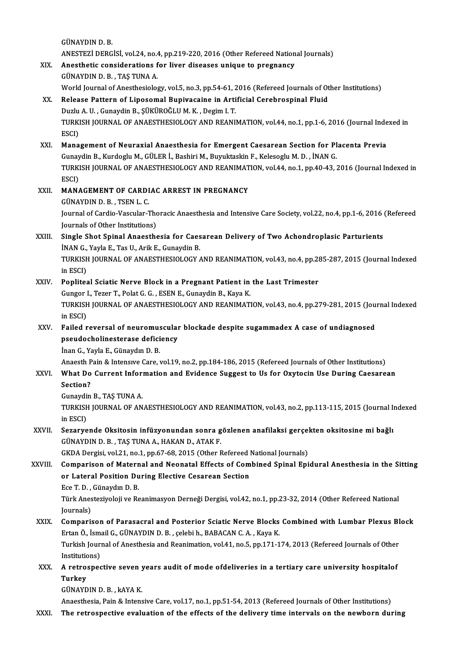GÜNAYDIND.B. GÜNAYDIN D. B.<br>ANESTEZİ DERGİSİ, vol.24, no.4, pp.219-220, 2016 (Other Refereed National Journals)<br>Anesthetis sensiderationa fan liver diseases unique te prespenev GÜNAYDIN D. B.<br>ANESTEZİ DERGİSİ, vol.24, no.4, pp.219-220, 2016 (Other Refereed Nation<br>XIX. Anesthetic considerations for liver diseases unique to pregnancy

ANESTEZI DERGISI, vol.24, no.4<br>Anesthetic considerations f<br>GÜNAYDIN D. B. , TAŞ TUNA A.<br>World Journal of Anesthesiales XIX. Anesthetic considerations for liver diseases unique to pregnancy<br>GÜNAYDIN D. B. , TAŞ TUNA A.<br>World Journal of Anesthesiology, vol.5, no.3, pp.54-61, 2016 (Refereed Journals of Other Institutions)

- XX. Release Pattern of Liposomal Bupivacaine in Artificial Cerebrospinal Fluid World Journal of Anesthesiology, vol.5, no.3, pp.54-61, 2<br>Release Pattern of Liposomal Bupivacaine in Arti<br>Duzlu A.U. , Gunaydin B., ŞÜKÜROĞLU M. K. , Degim I. T.<br>TURKISH JOURNAL OF ANAESTHESIOLOCY AND REANI TURKISH JOURNAL OF ANAESTHESIOLOGY AND REANIMATION, vol.44, no.1, pp.1-6, 2016 (Journal Indexed in<br>ESCI) Duzlu<br>TURKI<br>ESCI)<br>Mana TURKISH JOURNAL OF ANAESTHESIOLOGY AND REANIMATION, vol.44, no.1, pp.1-6, 2016 (Journal Inde<br>ESCI)<br>XXI. Management of Neuraxial Anaesthesia for Emergent Caesarean Section for Placenta Previa<br>Cunovelip B. Kurdoglu M. CÜLER
- ESCI)<br>Management of Neuraxial Anaesthesia for Emergent Caesarean Section for Pl<br>Gunaydin B., Kurdoglu M., GÜLER İ., Bashiri M., Buyuktaskin F., Kelesoglu M. D. , İNAN G.<br>TURKISH JOURNAL OF ANAESTHESIQLOCY AND REANIMATION Y TURKISH JOURNAL OF ANAESTHESIOLOGY AND REANIMATION, vol.44, no.1, pp.40-43, 2016 (Journal Indexed in<br>ESCI) Gunaydin B., Kurdoglu M., GÜLER İ., Bashiri M., Buyuktaskin F., Kelesoglu M. D., İNAN G.
- XXII. MANAGEMENT OF CARDIAC ARREST IN PREGNANCY GÜNAYDIND.B. ,TSENL.C. MANAGEMENT OF CARDIAC ARREST IN PREGNANCY<br>GÜNAYDIN D. B. , TSEN L. C.<br>Journal of Cardio-Vascular-Thoracic Anaesthesia and Intensive Care Society, vol.22, no.4, pp.1-6, 2016 (Refereed<br>Journals of Other Institutione) GÜNAYDIN D. B. , TSEN L. C.<br>Journal of Cardio-Vascular-The<br>Journals of Other Institutions)<br>Single Shet Spinel Aneesthe Journal of Cardio-Vascular-Thoracic Anaesthesia and Intensive Care Society, vol.22, no.4, pp.1-6, 2016<br>Journals of Other Institutions)<br>XXIII. Single Shot Spinal Anaesthesia for Caesarean Delivery of Two Achondroplasic Part
- **Journals of Other Institutions)<br>Single Shot Spinal Anaesthesia for Caes<br>İNAN G., Yayla E., Tas U., Arik E., Gunaydin B.<br>TURKISH JOURNAL OF ANAESTHESIOLOCY (** Single Shot Spinal Anaesthesia for Caesarean Delivery of Two Achondroplasic Parturients<br>İNAN G., Yayla E., Tas U., Arik E., Gunaydin B.<br>TURKISH JOURNAL OF ANAESTHESIOLOGY AND REANIMATION, vol.43, no.4, pp.285-287, 2015 (Jo inan G.,<br>TURKISH<br>in ESCI)<br>Ponlites TURKISH JOURNAL OF ANAESTHESIOLOGY AND REANIMATION, vol.43, no.4, pp.26<br>in ESCI)<br>XXIV. Popliteal Sciatic Nerve Block in a Pregnant Patient in the Last Trimester<br>Cunger L. Teger T. Bolet C. C. ESEN E. Cungydin B. Kaya K.
- in ESCI)<br>Popliteal Sciatic Nerve Block in a Pregnant Patient in<br>Gungor I., Tezer T., Polat G. G. , ESEN E., Gunaydin B., Kaya K.<br>TURKISH JOURNAL OF ANAESTHESIOLOCY AND REANIMAT Popliteal Sciatic Nerve Block in a Pregnant Patient in the Last Trimester<br>Gungor I., Tezer T., Polat G. G. , ESEN E., Gunaydin B., Kaya K.<br>TURKISH JOURNAL OF ANAESTHESIOLOGY AND REANIMATION, vol.43, no.4, pp.279-281, 2015 Gungor<br>TURKISH<br>in ESCI)<br>Esiled r TURKISH JOURNAL OF ANAESTHESIOLOGY AND REANIMATION, vol.43, no.4, pp.279-281, 2015 (Jou<br>in ESCI)<br>XXV. Failed reversal of neuromuscular blockade despite sugammadex A case of undiagnosed<br>neoudocholinesterese deficiency.
- in ESCI)<br>Failed reversal of neuromuscular<br>pseudocholinesterase deficiency<br>Ipan C. Yayla E. Cünaydın D. P. Failed reversal of neuromus<br>pseudocholinesterase defici<br>İnan G., Yayla E., Günaydın D. B.<br>Anaesth Dain & Intensus Care 1 pseudocholinesterase deficiency<br>İnan G., Yayla E., Günaydın D. B.<br>Anaesth Pain & Intensive Care, vol.19, no.2, pp.184-186, 2015 (Refereed Journals of Other Institutions)<br>What De Current Information and Evidence Suggest to

- İnan G., Yayla E., Günaydın D. B.<br>Anaesth Pain & Intensive Care, vol.19, no.2, pp.184-186, 2015 (Refereed Journals of Other Institutions)<br>XXVI. What Do Current Information and Evidence Suggest to Us for Oxytocin Use During Anaesth P<br>What Do<br>Section?<br>Cunavdin What Do Current Infor:<br>Section?<br>Gunaydin B., TAŞ TUNA A.<br>TURKISH JOURNAL OF AN
	-

Section?<br>Gunaydin B., TAŞ TUNA A.<br>TURKISH JOURNAL OF ANAESTHESIOLOGY AND REANIMATION, vol.43, no.2, pp.113-115, 2015 (Journal Indexed<br>in ESSD. Gunaydi<br>TURKISH<br>in ESCI)<br>Sererus TURKISH JOURNAL OF ANAESTHESIOLOGY AND REANIMATION, vol.43, no.2, pp.113-115, 2015 (Journal In<br>in ESCI)<br>XXVII. Sezaryende Oksitosin infüzyonundan sonra gözlenen anafilaksi gerçekten oksitosine mi bağlı<br>CÜNAYDIN D.B. TASTIN

in ESCI)<br>Sezaryende Oksitosin infüzyonundan sonra g<br>GÜNAYDIN D. B. , TAŞ TUNA A., HAKAN D., ATAK F.<br>GKDA Dergisi val 21 no 1 np 67,69,2015 (Other L Sezaryende Oksitosin infüzyonundan sonra gözlenen anafilaksi gerçel<br>GÜNAYDIN D. B. , TAŞ TUNA A., HAKAN D., ATAK F.<br>GKDA Dergisi, vol.21, no.1, pp.67-68, 2015 (Other Refereed National Journals)<br>Comparison of Maternal and N

GÜNAYDIN D. B. , TAŞ TUNA A., HAKAN D., ATAK F.<br>GKDA Dergisi, vol.21, no.1, pp.67-68, 2015 (Other Refereed National Journals)<br>XXVIII. Comparison of Maternal and Neonatal Effects of Combined Spinal Epidural Anesthesia i GKDA Dergisi, vol.21, no.1, pp.67-68, 2015 (Other Refereed I<br>Comparison of Maternal and Neonatal Effects of Com<br>or Lateral Position During Elective Cesarean Section<br>Ese T. D., Günavdu D. B **Comparison of Matern<br>or Lateral Position Du**<br>Ece T. D. , Günaydın D. B.<br>Türk Anesteriyeleji ve Be

or Lateral Position During Elective Cesarean Section<br>Ece T. D. , Günaydın D. B.<br>Türk Anesteziyoloji ve Reanimasyon Derneği Dergisi, vol.42, no.1, pp.23-32, 2014 (Other Refereed National<br>Journale) Ece T. D. ,<br>Türk Anes<br>Journals)<br>Comporis Türk Anesteziyoloji ve Reanimasyon Derneği Dergisi, vol.42, no.1, pp.23-32, 2014 (Other Refereed National<br>Journals)<br>XXIX. Comparison of Parasacral and Posterior Sciatic Nerve Blocks Combined with Lumbar Plexus Block<br>Fister

- Journals)<br>Comparison of Parasacral and Posterior Sciatic Nerve Blocks<br>Ertan Ö., İsmail G., GÜNAYDIN D. B. , çelebi h., BABACAN C. A. , Kaya K.<br>Turkish Journal of Anesthesia and Peanimation vel 41 no 5 nn 171 1 Comparison of Parasacral and Posterior Sciatic Nerve Blocks Combined with Lumbar Plexus Bl<br>Ertan Ö., İsmail G., GÜNAYDIN D. B. , çelebi h., BABACAN C. A. , Kaya K.<br>Turkish Journal of Anesthesia and Reanimation, vol.41, no. Ertan Ö., İsmail G., GÜNAYDIN D. B. , çelebi h., BABACAN C. A. , Kaya K.<br>Turkish Journal of Anesthesia and Reanimation, vol.41, no.5, pp.171-174, 2013 (Refereed Journals of Other<br>Institutions)
- Turkish Journal of Anesthesia and Reanimation, vol.41, no.5, pp.171-174, 2013 (Refereed Journals of Other<br>Institutions)<br>XXX. A retrospective seven years audit of mode ofdeliveries in a tertiary care university hospitalof<br>T Instituti<mark>c</mark><br>A retro:<br>Turkey<br>CÜNAYD A retrospective seven y<br>Turkey<br>GÜNAYDIN D. B. , kAYA K.<br>Anacathosia Dain & Intone Turkey<br>GÜNAYDIN D. B. , kAYA K.<br>Anaesthesia, Pain & Intensive Care, vol.17, no.1, pp.51-54, 2013 (Refereed Journals of Other Institutions)

XXXI. The retrospective evaluation of the effects of the delivery time intervals on the newborn during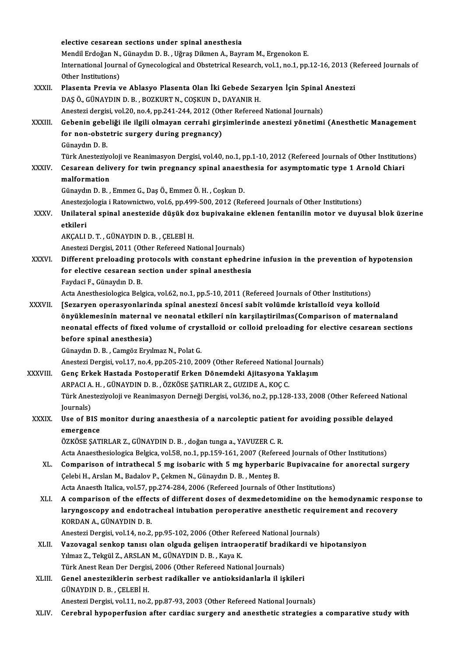|              | elective cesarean sections under spinal anesthesia                                                                                                         |
|--------------|------------------------------------------------------------------------------------------------------------------------------------------------------------|
|              | Mendil Erdoğan N., Günaydın D. B., Uğraş Dikmen A., Bayram M., Ergenokon E.                                                                                |
|              | International Journal of Gynecological and Obstetrical Research, vol.1, no.1, pp.12-16, 2013 (Refereed Journals of                                         |
|              | Other Institutions)                                                                                                                                        |
| XXXII.       | Plasenta Previa ve Ablasyo Plasenta Olan İki Gebede Sezaryen İçin Spinal Anestezi                                                                          |
|              | DAŞ Ö., GÜNAYDIN D. B., BOZKURT N., COŞKUN D., DAYANIR H.                                                                                                  |
|              | Anestezi dergisi, vol.20, no.4, pp.241-244, 2012 (Other Refereed National Journals)                                                                        |
| XXXIII.      | Gebenin gebeliği ile ilgili olmayan cerrahi girşimlerinde anestezi yönetimi (Anesthetic Management                                                         |
|              | for non-obstetric surgery during pregnancy)                                                                                                                |
|              | Günaydın D B                                                                                                                                               |
|              | Türk Anesteziyoloji ve Reanimasyon Dergisi, vol.40, no.1, pp.1-10, 2012 (Refereed Journals of Other Institutions)                                          |
| <b>XXXIV</b> | Cesarean delivery for twin pregnancy spinal anaesthesia for asymptomatic type 1 Arnold Chiari                                                              |
|              | malformation                                                                                                                                               |
|              | Günaydın D. B., Emmez G., Daş Ö., Emmez Ö. H., Coşkun D.                                                                                                   |
|              | Anestezjologia i Ratownictwo, vol.6, pp.499-500, 2012 (Refereed Journals of Other Institutions)                                                            |
| XXXV.        | Unilateral spinal anestezide düşük doz bupivakaine eklenen fentanilin motor ve duyusal blok üzerine                                                        |
|              | etkileri                                                                                                                                                   |
|              | AKÇALI D. T., GÜNAYDIN D. B., ÇELEBİ H.                                                                                                                    |
|              | Anestezi Dergisi, 2011 (Other Refereed National Journals)                                                                                                  |
| XXXVI.       | Different preloading protocols with constant ephedrine infusion in the prevention of hypotension                                                           |
|              | for elective cesarean section under spinal anesthesia                                                                                                      |
|              | Faydaci F., Günaydın D. B.                                                                                                                                 |
|              | Acta Anesthesiologica Belgica, vol.62, no.1, pp.5-10, 2011 (Refereed Journals of Other Institutions)                                                       |
| XXXVII.      | [Sezaryen operasyonlarinda spinal anestezi öncesi sabit volümde kristalloid veya kolloid                                                                   |
|              | önyüklemesinin maternal ve neonatal etkileri nin karşilaştirilmas(Comparison of maternaland                                                                |
|              | neonatal effects of fixed volume of crystalloid or colloid preloading for elective cesarean sections                                                       |
|              | before spinal anesthesia)                                                                                                                                  |
|              | Günaydın D. B., Camgöz Eryılmaz N., Polat G.                                                                                                               |
| XXXVIII.     | Anestezi Dergisi, vol.17, no.4, pp.205-210, 2009 (Other Refereed National Journals)<br>Genç Erkek Hastada Postoperatif Erken Dönemdeki Ajitasyona Yaklaşım |
|              | ARPACI A. H., GÜNAYDIN D. B., ÖZKÖSE ŞATIRLAR Z., GUZIDE A., KOÇ C.                                                                                        |
|              | Türk Anesteziyoloji ve Reanimasyon Derneği Dergisi, vol.36, no.2, pp.128-133, 2008 (Other Refereed National                                                |
|              | Journals)                                                                                                                                                  |
| XXXIX.       | Use of BIS monitor during anaesthesia of a narcoleptic patient for avoiding possible delayed                                                               |
|              | emergence                                                                                                                                                  |
|              | ÖZKÖSE ŞATIRLAR Z., GÜNAYDIN D. B., doğan tunga a., YAVUZER C. R.                                                                                          |
|              | Acta Anaesthesiologica Belgica, vol.58, no.1, pp.159-161, 2007 (Refereed Journals of Other Institutions)                                                   |
| XL.          | Comparison of intrathecal 5 mg isobaric with 5 mg hyperbaric Bupivacaine for anorectal surgery                                                             |
|              | Çelebi H., Arslan M., Badalov P., Çekmen N., Günaydın D. B., Menteş B.                                                                                     |
|              | Acta Anaesth Italica, vol.57, pp.274-284, 2006 (Refereed Journals of Other Institutions)                                                                   |
| XLI.         | A comparison of the effects of different doses of dexmedetomidine on the hemodynamic response to                                                           |
|              | laryngoscopy and endotracheal intubation peroperative anesthetic requirement and recovery                                                                  |
|              | KORDAN A., GÜNAYDIN D. B.                                                                                                                                  |
|              | Anestezi Dergisi, vol.14, no.2, pp.95-102, 2006 (Other Refereed National Journals)                                                                         |
| XLII.        | Vazovagal senkop tanısı olan olguda gelişen intraoperatif bradikardi ve hipotansiyon                                                                       |
|              | Yılmaz Z., Tekgül Z., ARSLAN M., GÜNAYDIN D. B., Kaya K.                                                                                                   |
|              | Türk Anest Rean Der Dergisi, 2006 (Other Refereed National Journals)                                                                                       |
| XLIII.       | Genel anesteziklerin serbest radikaller ve antioksidanlarla il işkileri                                                                                    |
|              | GÜNAYDIN D. B., ÇELEBİ H.                                                                                                                                  |
|              | Anestezi Dergisi, vol.11, no.2, pp.87-93, 2003 (Other Refereed National Journals)                                                                          |
| XLIV.        | Cerebral hypoperfusion after cardiac surgery and anesthetic strategies a comparative study with                                                            |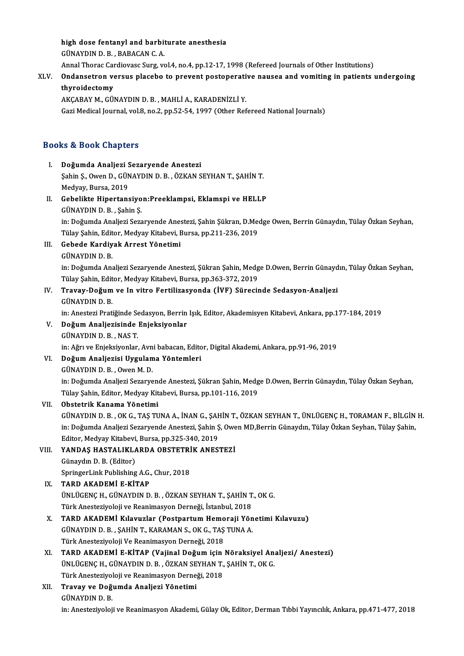high dose fentanyl and barbiturate anesthesia<br>CÜNAYDIND B. BARACAN.C.A high dose fentanyl and barbit<br>GÜNAYDIN D. B. , BABACAN C. A.<br>Annal Thoras Cardiayaas Surg *ya* high dose fentanyl and barbiturate anesthesia<br>GÜNAYDIN D. B. , BABACAN C. A.<br>Annal Thorac Cardiovasc Surg, vol.4, no.4, pp.12-17, 1998 (Refereed Journals of Other Institutions)<br>Ondepestren versus plasebe to prevent pestepe

# GÜNAYDIN D. B. , BABACAN C. A.<br>Annal Thorac Cardiovasc Surg, vol.4, no.4, pp.12-17, 1998 (Refereed Journals of Other Institutions)<br>XLV. Ondansetron versus placebo to prevent postoperative nausea and vomiting in patient Annal Thorac Car<br>Ondansetron ve<br>thyroidectomy<br>AVCARAY M. CÜI Ondansetron versus placebo to prevent postoperati<br>thyroidectomy<br>AKÇABAY M., GÜNAYDIN D. B. , MAHLİ A., KARADENİZLİ Y.<br>Cari Medicel Journal vel 8, no 2, np 52,54,1997 (Other Pef

thyroidectomy<br>AKÇABAY M., GÜNAYDIN D. B. , MAHLİ A., KARADENİZLİ Y.<br>Gazi Medical Journal, vol.8, no.2, pp.52-54, 1997 (Other Refereed National Journals)

# Gazi Medical Journal, Vol.<br>Books & Book Chapters

| <b>Books &amp; Book Chapters</b> |                                                                                                                   |  |
|----------------------------------|-------------------------------------------------------------------------------------------------------------------|--|
| Ι.                               | Doğumda Analjezi Sezaryende Anestezi                                                                              |  |
|                                  | Şahin Ş., Owen D., GÜNAYDIN D. B., ÖZKAN SEYHAN T., ŞAHİN T.                                                      |  |
|                                  | Medyay, Bursa, 2019                                                                                               |  |
| П.                               | Gebelikte Hipertansiyon:Preeklampsi, Eklamspi ve HELLP                                                            |  |
|                                  | GÜNAYDIN D. B., Şahin Ş.                                                                                          |  |
|                                  | in: Doğumda Analjezi Sezaryende Anestezi, Şahin Şükran, D.Medge Owen, Berrin Günaydın, Tülay Özkan Seyhan,        |  |
|                                  | Tülay Şahin, Editor, Medyay Kitabevi, Bursa, pp.211-236, 2019                                                     |  |
| III.                             | Gebede Kardiyak Arrest Yönetimi                                                                                   |  |
|                                  | GÜNAYDIN D. B.                                                                                                    |  |
|                                  | in: Doğumda Analjezi Sezaryende Anestezi, Şükran Şahin, Medge D.Owen, Berrin Günaydın, Tülay Özkan Seyhan,        |  |
|                                  | Tülay Şahin, Editor, Medyay Kitabevi, Bursa, pp.363-372, 2019                                                     |  |
| IV.                              | Travay-Doğum ve In vitro Fertilizasyonda (İVF) Sürecinde Sedasyon-Analjezi                                        |  |
|                                  | <b>GÜNAYDIN D B</b>                                                                                               |  |
|                                  | in: Anestezi Pratiğinde Sedasyon, Berrin Işık, Editor, Akademisyen Kitabevi, Ankara, pp.177-184, 2019             |  |
| V.                               | Doğum Analjezisinde Enjeksiyonlar                                                                                 |  |
|                                  | GÜNAYDIN D.B., NAS T.<br>in: Ağrı ve Enjeksiyonlar, Avni babacan, Editor, Digital Akademi, Ankara, pp.91-96, 2019 |  |
| VI.                              | Doğum Analjezisi Uygulama Yöntemleri                                                                              |  |
|                                  | GÜNAYDIN D. B., Owen M. D.                                                                                        |  |
|                                  | in: Doğumda Analjezi Sezaryende Anestezi, Şükran Şahin, Medge D.Owen, Berrin Günaydın, Tülay Özkan Seyhan,        |  |
|                                  | Tülay Şahin, Editor, Medyay Kitabevi, Bursa, pp.101-116, 2019                                                     |  |
| VII.                             | Obstetrik Kanama Yönetimi                                                                                         |  |
|                                  | GÜNAYDIN D. B. , OK G., TAŞ TUNA A., İNAN G., ŞAHİN T., ÖZKAN SEYHAN T., ÜNLÜGENÇ H., TORAMAN F., BİLGİN H.       |  |
|                                  | in: Doğumda Analjezi Sezaryende Anestezi, Şahin Ş, Owen MD,Berrin Günaydın, Tülay Özkan Seyhan, Tülay Şahin,      |  |
|                                  | Editor, Medyay Kitabevi, Bursa, pp.325-340, 2019                                                                  |  |
| VIII.                            | YANDAŞ HASTALIKLARDA OBSTETRİK ANESTEZİ                                                                           |  |
|                                  | Günaydın D.B. (Editor)                                                                                            |  |
|                                  | SpringerLink Publishing A.G., Chur, 2018                                                                          |  |
| IX.                              | TARD AKADEMÎ E-KÎTAP                                                                                              |  |
|                                  | ÜNLÜGENÇ H., GÜNAYDIN D. B., ÖZKAN SEYHAN T., ŞAHİN T., OK G.                                                     |  |
|                                  | Türk Anesteziyoloji ve Reanimasyon Derneği, İstanbul, 2018                                                        |  |
| X.                               | TARD AKADEMİ Kılavuzlar (Postpartum Hemoraji Yönetimi Kılavuzu)                                                   |  |
|                                  | GÜNAYDIN D. B., ŞAHİN T., KARAMAN S., OK G., TAŞ TUNA A.                                                          |  |
|                                  | Türk Anesteziyoloji Ve Reanimasyon Derneği, 2018                                                                  |  |
| XI.                              | TARD AKADEMİ E-KİTAP (Vajinal Doğum için Nöraksiyel Analjezi/ Anestezi)                                           |  |
|                                  | ÜNLÜGENÇ H., GÜNAYDIN D. B. , ÖZKAN SEYHAN T., ŞAHİN T., OK G.                                                    |  |
|                                  | Türk Anesteziyoloji ve Reanimasyon Derneği, 2018                                                                  |  |
| XII.                             | Travay ve Doğumda Analjezi Yönetimi                                                                               |  |
|                                  | GÜNAYDIN D. B.                                                                                                    |  |
|                                  | in: Anesteziyoloji ve Reanimasyon Akademi, Gülay Ok, Editor, Derman Tıbbi Yayıncılık, Ankara, pp.471-477, 2018    |  |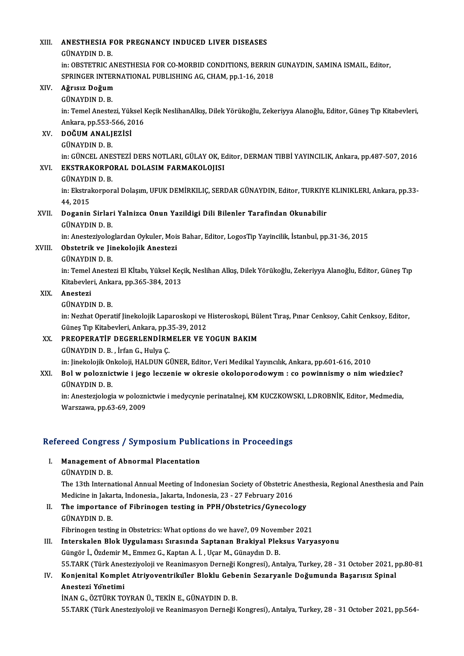#### XIII. ANESTHESIA FOR PREGNANCY INDUCED LIVER DISEASES **ANESTHESIA F<br>GÜNAYDIN D. B.<br>in: OBSTETPIC A** ANESTHESIA FOR PREGNANCY INDUCED LIVER DISEASES<br>GÜNAYDIN D. B.<br>in: OBSTETRIC ANESTHESIA FOR CO-MORBID CONDITIONS, BERRIN GUNAYDIN, SAMINA ISMAIL, Editor,<br>SPRINCER INTERNATIONAL BUBLISHING AC CHAM nn 1.16.2018 GÜNAYDIN D. B.<br>in: OBSTETRIC ANESTHESIA FOR CO-MORBID CONDITIONS, BERRIN<br>SPRINGER INTERNATIONAL PUBLISHING AG, CHAM, pp.1-16, 2018<br>Ağnaya Doğum SPRINGER INTERNATIONAL PUBLISHING AG, CHAM, pp.1-16, 2018<br>XIV. Ağrısız Doğum GÜNAYDIND.B. Ağrısız Doğum<br>GÜNAYDIN D. B.<br>in: Temel Anestezi, Yüksel Keçik NeslihanAlkış, Dilek Yörükoğlu, Zekeriyya Alanoğlu, Editor, Güneş Tıp Kitabevleri, GÜNAYDIN D. B.<br>in: Temel Anestezi, Yüksel I<br>Ankara, pp.553-566, 2016<br>DOČUM ANAL IEZISİ XV. DOĞUM ANALJEZİSİ<br>GÜNAYDIN D. B. Ankara, pp. 553-566, 2016 DOĞUM ANALJEZİSİ<br>GÜNAYDIN D. B.<br>in: GÜNCEL ANESTEZİ DERS NOTLARI, GÜLAY OK, Editor, DERMAN TIBBİ YAYINCILIK, Ankara, pp.487-507, 2016<br>EKSTRAKORRORAL, DOLASIM FARMAKOLOUSI XVI. **EKSTRAKORPORAL DOLASIM FARMAKOLOJISI**<br>GÜNAYDIN D. B. in: GÜNCEL ANE<br><mark>EKSTRAKORPO</mark><br>GÜNAYDIN D. B.<br>in: Ekstrakorpor EKSTRAKORPORAL DOLASIM FARMAKOLOJISI<br>GÜNAYDIN D. B.<br>in: Ekstrakorporal Dolaşım, UFUK DEMİRKILIÇ, SERDAR GÜNAYDIN, Editor, TURKIYE KLINIKLERI, Ankara, pp.33-<br>44.2015 GÜNAYDI<br>in: Ekstral<br>44, 2015<br>Doganin in: Ekstrakorporal Dolaşım, UFUK DEMİRKILIÇ, SERDAR GÜNAYDIN, Editor, TURKIYE<br>44, 2015<br>XVII. Doganin Sirlari Yalnizca Onun Yazildigi Dili Bilenler Tarafindan Okunabilir<br>CÜNAYDIN D. B 44, 2015<br>Doganin Sirlar<br>GÜNAYDIN D. B.<br>in: Anesteriveles Doganin Sirlari Yalnizca Onun Yazildigi Dili Bilenler Tarafindan Okunabilir<br>GÜNAYDIN D. B.<br>in: Anesteziyologlardan Oykuler, Mois Bahar, Editor, LogosTip Yayincilik, İstanbul, pp.31-36, 2015<br>Obatetrik ve Jinekelejik Anester GÜNAYDIN D. B.<br>in: Anesteziyologlardan Oykuler, Mois<br>XVIII. **Obstetrik ve Jinekolojik Anestezi**<br>GÜNAYDIN D. B. in: Anesteziyolog<br>Obstetrik ve Jir<br>GÜNAYDIN D. B.<br>in: Tomal Anasta Obstetrik ve Jinekolojik Anestezi<br>GÜNAYDIN D. B.<br>in: Temel Anestezi El Kİtabı, Yüksel Keçik, Neslihan Alkış, Dilek Yörükoğlu, Zekeriyya Alanoğlu, Editor, Güneş Tıp GÜNAYDIN D. B.<br>in: Temel Anestezi El Kİtabı, Yüksel Keç<br>Kitabevleri, Ankara, pp.365-384, 2013<br>Anesteri XIX. Anestezi Kitabevleri, Ankara, pp.365-384, 2013 in: Nezhat Operatif Jinekolojik Laparoskopi ve Histeroskopi, Bülent Tıraş, Pınar Cenksoy, Cahit Cenksoy, Editor, GÜNAYDIN D. B.<br>in: Nezhat Operatif Jinekolojik Laparoskopi ve l<br>Güneş Tıp Kitabevleri, Ankara, pp.35-39, 2012<br>PREORER ATİE DECERI ENDİRMELER VE V XX. PREOPERATİF DEGERLENDİRMELER VE YOGUN BAKIM<br>GÜNAYDIN D. B., İrfan G., Hulya Ç. Güneş Tıp Kitabevleri, Ankara, pp.3<br>PREOPERATİF DEGERLENDİRM<br>GÜNAYDIN D. B. , İrfan G., Hulya Ç.<br>in: İingkalajik Onkalaji, HALDIN Cl PREOPERATİF DEGERLENDİRMELER VE YOGUN BAKIM<br>GÜNAYDIN D. B. , İrfan G., Hulya Ç.<br>in: Jinekolojik Onkoloji, HALDUN GÜNER, Editor, Veri Medikal Yayıncılık, Ankara, pp.601-616, 2010<br>Bel w nelegnistwie i isse lessenie w ekresia XXI. Bol w poloznictwie i jego leczenie w okresie okoloporodowym: co powinnismy o nim wiedziec?<br>GÜNAYDIN D. B. in: Jinekolojik On<br>Bol w poloznic<br>GÜNAYDIN D. B.<br>in: Anesterielegi Bol w poloznictwie i jego leczenie w okresie okoloporodowym : co powinnismy o nim wiedziec?<br>GÜNAYDIN D. B.<br>in: Anestezjologia w poloznictwie i medycynie perinatalnej, KM KUCZKOWSKI, L.DROBNİK, Editor, Medmedia,<br>Warszawa np GÜNAYDIN D. B.<br>in: Anestezjologia w polozn<br>Warszawa, pp.63-69, 2009 warszawa, pp.63-69, 2009<br>Refereed Congress / Symposium Publications in Proceedings

# efereed Congress / Symposium Publion<br>I. Management of Abnormal Placentation<br>CÜNAYDIN D B

- I. Management of Abnormal Placentation<br>GÜNAYDIN D. B.
	-

Management of Abnormal Placentation<br>GÜNAYDIN D. B.<br>The 13th International Annual Meeting of Indonesian Society of Obstetric Anesthesia, Regional Anesthesia and Pain<br>Medisine in Jakarta Indonesia, Jakarta Indonesia 22 - 27 GÜNAYDIN D. B.<br>The 13th International Annual Meeting of Indonesian Society of Obstetric .<br>Medicine in Jakarta, Indonesia., Jakarta, Indonesia, 23 - 27 February 2016<br>The impertance of Eibrinesson testing in PPH (Obstetries Medicine in Jakarta, Indonesia., Jakarta, Indonesia, 23 - 27 February 2016

II. The importance of Fibrinogen testing in PPH/Obstetrics/Gynecology<br>GÜNAYDIN D. B. Fibrinogen testing in Obstetrics: What options do we have?, 09 November 2021

GÜNAYDIN D. B.<br>Fibrinogen testing in Obstetrics: What options do we have?, 09 November 2021<br>III. Interskalen Blok Uygulaması Sırasında Saptanan Brakiyal Pleksus Varyasyonu<br>Günağr İ. Özdemir M. Emmer C. Kaptan A. İ. Hear M. Fibrinogen testing in Obstetrics: What options do we have?, 09 Novem<br>Interskalen Blok Uygulaması Sırasında Saptanan Brakiyal Plek<br>Güngör İ., Özdemir M., Emmez G., Kaptan A. İ. , Uçar M., Günaydın D. B.<br>EE TARK (Türk Apeste Interskalen Blok Uygulaması Sırasında Saptanan Brakiyal Pleksus Varyasyonu<br>Güngör İ., Özdemir M., Emmez G., Kaptan A. İ. , Uçar M., Günaydın D. B.<br>55.TARK (Türk Anesteziyoloji ve Reanimasyon Derneği Kongresi), Antalya, Tur Güngör İ., Özdemir M., Emmez G., Kaptan A. İ. , Uçar M., Günaydın D. B.<br>55.TARK (Türk Anesteziyoloji ve Reanimasyon Derneği Kongresi), Antalya, Turkey, 28 - 31 October 2021, <sub>I</sub><br>IV. Konjenital Komplet Atriyoventriküler

# 55.TARK (Türk Anes<br>Konjenital Komple<br>Anestezi Yönetimi<br>iNAN C. ÖZTÜPK TO Konjenital Komplet Atriyoventriküler Bloklu Gebe<br>Anestezi Yönetimi<br>İNAN G., ÖZTÜRK TOYRAN Ü., TEKİN E., GÜNAYDIN D. B.<br>EE TARK (Türk Anesteriyeleji ve Beanimesyon Derneği l

Anestezi Yönetimi<br>İNAN G., ÖZTÜRK TOYRAN Ü., TEKİN E., GÜNAYDIN D. B.<br>55.TARK (Türk Anesteziyoloji ve Reanimasyon Derneği Kongresi), Antalya, Turkey, 28 - 31 October 2021, pp.564-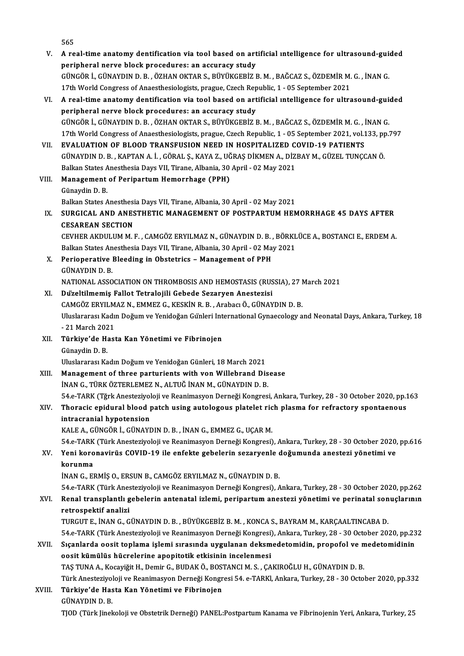|        | 565                                                                                                           |
|--------|---------------------------------------------------------------------------------------------------------------|
| V.     | A real-time anatomy dentification via tool based on artificial intelligence for ultrasound-guided             |
|        | peripheral nerve block procedures: an accuracy study                                                          |
|        | GÜNGÖR İ., GÜNAYDIN D. B., ÖZHAN OKTAR S., BÜYÜKGEBİZ B. M., BAĞCAZ S., ÖZDEMİR M. G., İNAN G.                |
|        | 17th World Congress of Anaesthesiologists, prague, Czech Republic, 1 - 05 September 2021                      |
| VI.    | A real-time anatomy dentification via tool based on artificial intelligence for ultrasound-guided             |
|        | peripheral nerve block procedures: an accuracy study                                                          |
|        | GÜNGÖR İ., GÜNAYDIN D. B., ÖZHAN OKTAR S., BÜYÜKGEBİZ B. M., BAĞCAZ S., ÖZDEMİR M. G., İNAN G.                |
|        | 17th World Congress of Anaesthesiologists, prague, Czech Republic, 1 - 05 September 2021, vol.133, pp.797     |
| VII.   | EVALUATION OF BLOOD TRANSFUSION NEED IN HOSPITALIZED COVID-19 PATIENTS                                        |
|        | GÜNAYDIN D. B., KAPTAN A. İ., GÖRAL Ş., KAYA Z., UĞRAŞ DİKMEN A., DİZBAY M., GÜZEL TUNÇCAN Ö.                 |
|        | Balkan States Anesthesia Days VII, Tirane, Albania, 30 April - 02 May 2021                                    |
| VIII.  | Management of Peripartum Hemorrhage (PPH)                                                                     |
|        | Günaydin D.B.                                                                                                 |
|        | Balkan States Anesthesia Days VII, Tirane, Albania, 30 April - 02 May 2021                                    |
| IX     | SURGICAL AND ANESTHETIC MANAGEMENT OF POSTPARTUM HEMORRHAGE 45 DAYS AFTER                                     |
|        | <b>CESAREAN SECTION</b>                                                                                       |
|        | CEVHER AKDULUM M. F., CAMGÖZ ERYILMAZ N., GÜNAYDIN D. B., BÖRKLÜCE A., BOSTANCI E., ERDEM A.                  |
|        | Balkan States Anesthesia Days VII, Tirane, Albania, 30 April - 02 May 2021                                    |
| X.     | Perioperative Bleeding in Obstetrics - Management of PPH                                                      |
|        | GÜNAYDIN D.B.                                                                                                 |
|        | NATIONAL ASSOCIATION ON THROMBOSIS AND HEMOSTASIS (RUSSIA), 27 March 2021                                     |
| XI.    | Düzeltilmemiş Fallot Tetralojili Gebede Sezaryen Anestezisi                                                   |
|        | CAMGÖZ ERYILMAZ N., EMMEZ G., KESKİN R. B., Arabacı Ö., GÜNAYDIN D. B.                                        |
|        | Uluslararası Kadın Doğum ve Yenidoğan Günleri International Gynaecology and Neonatal Days, Ankara, Turkey, 18 |
|        | - 21 March 2021                                                                                               |
| XII.   | Türkiye'de Hasta Kan Yönetimi ve Fibrinojen                                                                   |
|        | Günaydin D.B.                                                                                                 |
|        | Uluslararası Kadın Doğum ve Yenidoğan Günleri, 18 March 2021                                                  |
| XIII.  | Management of three parturients with von Willebrand Disease                                                   |
|        | İNAN G., TÜRK ÖZTERLEMEZ N., ALTUĞ İNAN M., GÜNAYDIN D. B.                                                    |
|        | 54.e-TARK (Tğrk Anesteziyoloji ve Reanimasyon Derneği Kongresi, Ankara, Turkey, 28 - 30 October 2020, pp.163  |
| XIV.   | Thoracic epidural blood patch using autologous platelet rich plasma for refractory spontaenous                |
|        | intracranial hypotension                                                                                      |
|        | KALE A., GÜNGÖR İ., GÜNAYDIN D. B., İNAN G., EMMEZ G., UÇAR M.                                                |
|        | 54.e-TARK (Türk Anesteziyoloji ve Reanimasyon Derneği Kongresi), Ankara, Turkey, 28 - 30 October 2020, pp.616 |
| XV.    | Yeni koronavirüs COVID-19 ile enfekte gebelerin sezaryenle doğumunda anestezi yönetimi ve                     |
|        | korunma                                                                                                       |
|        | İNAN G., ERMİŞ O., ERSUN B., CAMGÖZ ERYILMAZ N., GÜNAYDIN D. B.                                               |
|        | 54.e-TARK (Türk Anesteziyoloji ve Reanimasyon Derneği Kongresi), Ankara, Turkey, 28 - 30 October 2020, pp.262 |
| XVI.   | Renal transplantlı gebelerin antenatal izlemi, peripartum anestezi yönetimi ve perinatal sonuçlarının         |
|        | retrospektif analizi                                                                                          |
|        | TURGUT E., İNAN G., GÜNAYDIN D. B., BÜYÜKGEBİZ B. M., KONCA S., BAYRAM M., KARÇAALTINCABA D.                  |
|        | 54.e-TARK (Türk Anesteziyoloji ve Reanimasyon Derneği Kongresi), Ankara, Turkey, 28 - 30 October 2020, pp.232 |
| XVII.  | Sıçanlarda oosit toplama işlemi sırasında uygulanan deksmedetomidin, propofol ve medetomidinin                |
|        | oosit kümülüs hücrelerine apopitotik etkisinin incelenmesi                                                    |
|        | TAŞ TUNA A., Kocayiğit H., Demir G., BUDAK Ö., BOSTANCI M. S. , ÇAKIROĞLU H., GÜNAYDIN D. B.                  |
|        | Türk Anesteziyoloji ve Reanimasyon Derneği Kongresi 54. e-TARKl, Ankara, Turkey, 28 - 30 October 2020, pp.332 |
| XVIII. | Türkiye'de Hasta Kan Yönetimi ve Fibrinojen                                                                   |
|        | GÜNAYDIN D. B.                                                                                                |
|        | TJOD (Türk Jinekoloji ve Obstetrik Derneği) PANEL:Postpartum Kanama ve Fibrinojenin Yeri, Ankara, Turkey, 25  |
|        |                                                                                                               |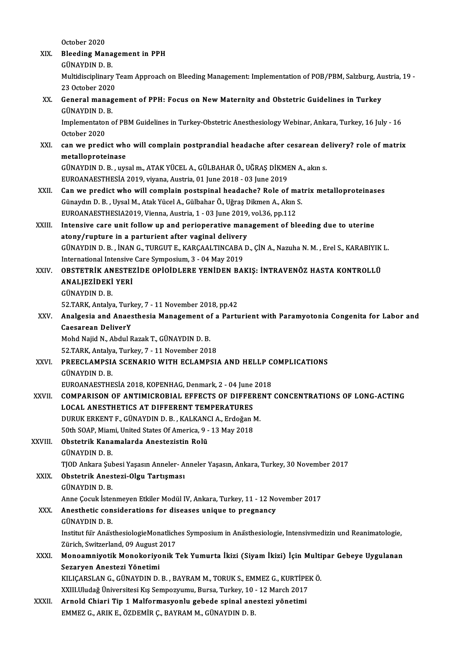|             | October 2020                                                                                                                   |
|-------------|--------------------------------------------------------------------------------------------------------------------------------|
| XIX.        | <b>Bleeding Management in PPH</b>                                                                                              |
|             | GÜNAYDIN D. B.                                                                                                                 |
|             | Multidisciplinary Team Approach on Bleeding Management: Implementation of POB/PBM, Salzburg, Austria, 19 -                     |
|             | 23 October 2020                                                                                                                |
| XX.         | General management of PPH: Focus on New Maternity and Obstetric Guidelines in Turkey                                           |
|             | <b>GÜNAYDIN D.B.</b>                                                                                                           |
|             | Implementaton of PBM Guidelines in Turkey-Obstetric Anesthesiology Webinar, Ankara, Turkey, 16 July - 16<br>October 2020       |
| XXI.        | can we predict who will complain postprandial headache after cesarean delivery? role of matrix                                 |
|             | metalloproteinase                                                                                                              |
|             | GÜNAYDIN D. B., uysal m., ATAK YÜCEL A., GÜLBAHAR Ö., UĞRAŞ DİKMEN A., akın s.                                                 |
|             | EUROANAESTHESİA 2019, viyana, Austria, 01 June 2018 - 03 June 2019                                                             |
| XXII.       | Can we predict who will complain postspinal headache? Role of matrix metalloproteinases                                        |
|             | Günaydın D. B., Uysal M., Atak Yücel A., Gülbahar Ö., Uğraş Dikmen A., Akın S.                                                 |
|             | EUROANAESTHESIA2019, Vienna, Austria, 1 - 03 June 2019, vol.36, pp.112                                                         |
| XXIII.      | Intensive care unit follow up and perioperative management of bleeding due to uterine                                          |
|             | atony/rupture in a parturient after vaginal delivery                                                                           |
|             | GÜNAYDIN D. B., İNAN G., TURGUT E., KARÇAALTINCABA D., ÇİN A., Nazuha N. M., Erel S., KARABIYIK L.                             |
|             | International Intensive Care Symposium, 3 - 04 May 2019                                                                        |
| XXIV.       | OBSTETRIK ANESTEZIDE OPIOIDLERE YENIDEN BAKIŞ: İNTRAVENÖZ HASTA KONTROLLÜ                                                      |
|             | ANALJEZİDEKİ YERİ<br>GÜNAYDIN D. B.                                                                                            |
|             | 52 TARK, Antalya, Turkey, 7 - 11 November 2018, pp 42                                                                          |
| XXV.        | Analgesia and Anaesthesia Management of a Parturient with Paramyotonia Congenita for Labor and                                 |
|             | <b>Caesarean DeliverY</b>                                                                                                      |
|             | Mohd Najid N., Abdul Razak T., GÜNAYDIN D. B.                                                                                  |
|             | 52 TARK, Antalya, Turkey, 7 - 11 November 2018                                                                                 |
| <b>XXVI</b> | PREECLAMPSIA SCENARIO WITH ECLAMPSIA AND HELLP COMPLICATIONS                                                                   |
|             | GÜNAYDIN D. B.                                                                                                                 |
|             | EUROANAESTHESIA 2018, KOPENHAG, Denmark, 2 - 04 June 2018                                                                      |
| XXVII.      | COMPARISON OF ANTIMICROBIAL EFFECTS OF DIFFERENT CONCENTRATIONS OF LONG-ACTING                                                 |
|             | <b>LOCAL ANESTHETICS AT DIFFERENT TEMPERATURES</b>                                                                             |
|             | DURUK ERKENT F., GÜNAYDIN D. B., KALKANCI A., Erdoğan M.                                                                       |
|             | 50th SOAP, Miami, United States Of America, 9 - 13 May 2018                                                                    |
| XXVIII.     | Obstetrik Kanamalarda Anestezistin Rolü                                                                                        |
|             | GÜNAYDIN D. B.                                                                                                                 |
|             | TJOD Ankara Şubesi Yaşasın Anneler- Anneler Yaşasın, Ankara, Turkey, 30 November 2017                                          |
| XXIX.       | Obstetrik Anestezi-Olgu Tartışması                                                                                             |
|             | GÜNAYDIN D. B.                                                                                                                 |
|             | Anne Çocuk İstenmeyen Etkiler Modül IV, Ankara, Turkey, 11 - 12 November 2017                                                  |
| XXX.        | Anesthetic considerations for diseases unique to pregnancy                                                                     |
|             | GÜNAYDIN D. B.                                                                                                                 |
|             | Institut für AnästhesiologieMonatliches Symposium in Anästhesiologie, Intensivmedizin und Reanimatologie,                      |
|             | Zürich, Switzerland, 09 August 2017                                                                                            |
| XXXI.       | Monoamniyotik Monokoriyonik Tek Yumurta İkizi (Siyam İkizi) İçin Multipar Gebeye Uygulanan                                     |
|             | Sezaryen Anestezi Yönetimi                                                                                                     |
|             | KILIÇARSLAN G., GÜNAYDIN D. B., BAYRAM M., TORUK S., EMMEZ G., KURTİPEK Ö.                                                     |
|             | XXIII. Uludağ Üniversitesi Kış Sempozyumu, Bursa, Turkey, 10 - 12 March 2017                                                   |
| XXXII.      | Arnold Chiari Tip 1 Malformasyonlu gebede spinal anestezi yönetimi<br>EMMEZ G., ARIK E., ÖZDEMİR Ç., BAYRAM M., GÜNAYDIN D. B. |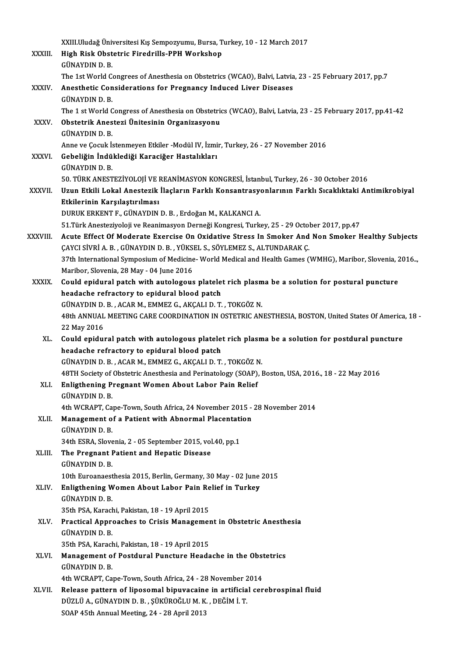|              | XXIII. Uludağ Üniversitesi Kış Sempozyumu, Bursa, Turkey, 10 - 12 March 2017                                                                 |
|--------------|----------------------------------------------------------------------------------------------------------------------------------------------|
| XXXIII.      | High Risk Obstetric Firedrills-PPH Workshop                                                                                                  |
|              | GÜNAYDIN D. B.                                                                                                                               |
|              | The 1st World Congrees of Anesthesia on Obstetrics (WCAO), Balvi, Latvia, 23 - 25 February 2017, pp.7                                        |
| XXXIV.       | Anesthetic Considerations for Pregnancy Induced Liver Diseases                                                                               |
|              | GÜNAYDIN D. B.                                                                                                                               |
|              | The 1 st World Congress of Anesthesia on Obstetrics (WCAO), Balvi, Latvia, 23 - 25 February 2017, pp.41-42                                   |
| XXXV.        | Obstetrik Anestezi Ünitesinin Organizasyonu                                                                                                  |
|              | GÜNAYDIN D. B.                                                                                                                               |
|              | Anne ve Çocuk İstenmeyen Etkiler -Modül IV, İzmir, Turkey, 26 - 27 November 2016                                                             |
| <b>XXXVI</b> | Gebeliğin İndüklediği Karaciğer Hastalıkları<br><b>GÜNAYDIN D.B.</b>                                                                         |
|              | 50. TÜRK ANESTEZİYOLOJİ VE REANİMASYON KONGRESİ, İstanbul, Turkey, 26 - 30 October 2016                                                      |
| XXXVII.      | Uzun Etkili Lokal Anestezik İlaçların Farklı Konsantrasyonlarının Farklı Sıcaklıktaki Antimikrobiyal                                         |
|              | Etkilerinin Karşılaştırılması                                                                                                                |
|              | DURUK ERKENT F., GÜNAYDIN D. B., Erdoğan M., KALKANCI A.                                                                                     |
|              | 51. Türk Anesteziyoloji ve Reanimasyon Derneği Kongresi, Turkey, 25 - 29 October 2017, pp.47                                                 |
| XXXVIII.     | Acute Effect Of Moderate Exercise On Oxidative Stress In Smoker And Non Smoker Healthy Subjects                                              |
|              | ÇAYCI SİVRİ A. B., GÜNAYDIN D. B., YÜKSEL S., SÖYLEMEZ S., ALTUNDARAK Ç.                                                                     |
|              | 37th International Symposium of Medicine-World Medical and Health Games (WMHG), Maribor, Slovenia, 2016.,,                                   |
|              | Maribor, Slovenia, 28 May - 04 June 2016                                                                                                     |
| <b>XXXIX</b> | Could epidural patch with autologous platelet rich plasma be a solution for postural puncture<br>headache refractory to epidural blood patch |
|              | GÜNAYDIN D. B., ACAR M., EMMEZ G., AKÇALI D. T., TOKGÖZ N.                                                                                   |
|              | 48th ANNUAL MEETING CARE COORDINATION IN OSTETRIC ANESTHESIA, BOSTON, United States Of America, 18 -                                         |
|              | 22 May 2016                                                                                                                                  |
| XL.          | Could epidural patch with autologous platelet rich plasma be a solution for postdural puncture                                               |
|              | headache refractory to epidural blood patch                                                                                                  |
|              | GÜNAYDIN D. B. , ACAR M., EMMEZ G., AKÇALI D. T. , TOKGÖZ N.                                                                                 |
|              | 48TH Society of Obstetric Anesthesia and Perinatology (SOAP), Boston, USA, 2016, 18 - 22 May 2016                                            |
| XLI.         | Enligthening Pregnant Women About Labor Pain Relief                                                                                          |
|              | GÜNAYDIN D. B.                                                                                                                               |
| XLII.        | 4th WCRAPT, Cape-Town, South Africa, 24 November 2015 - 28 November 2014<br>Management of a Patient with Abnormal Placentation               |
|              | GÜNAYDIN D. B.                                                                                                                               |
|              | 34th ESRA, Slovenia, 2 - 05 September 2015, vol.40, pp.1                                                                                     |
| XLIII.       | The Pregnant Patient and Hepatic Disease                                                                                                     |
|              | GÜNAYDIN D. B.                                                                                                                               |
|              | 10th Euroanaesthesia 2015, Berlin, Germany, 30 May - 02 June 2015                                                                            |
| XLIV.        | Enligthening Women About Labor Pain Relief in Turkey                                                                                         |
|              | GÜNAYDIN D. B.                                                                                                                               |
|              | 35th PSA, Karachi, Pakistan, 18 - 19 April 2015                                                                                              |
| XLV.         | Practical Approaches to Crisis Management in Obstetric Anesthesia                                                                            |
|              | GÜNAYDIN D B                                                                                                                                 |
| XLVI.        | 35th PSA, Karachi, Pakistan, 18 - 19 April 2015<br>Management of Postdural Puncture Headache in the Obstetrics                               |
|              | GÜNAYDIN D. B.                                                                                                                               |
|              | 4th WCRAPT, Cape-Town, South Africa, 24 - 28 November 2014                                                                                   |
| XLVII.       | Release pattern of liposomal bipuvacaine in artificial cerebrospinal fluid                                                                   |
|              | DÜZLÜ A., GÜNAYDIN D. B., ŞÜKÜROĞLU M. K., DEĞİM İ. T.                                                                                       |
|              | SOAP 45th Annual Meeting, 24 - 28 April 2013                                                                                                 |
|              |                                                                                                                                              |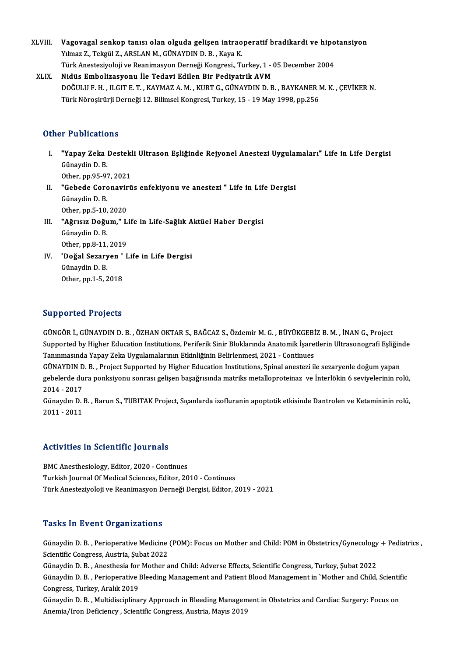- XLVIII. Vagovagal senkop tanısı olan olguda gelişen intraoperatif bradikardi ve hipotansiyon<br>Y<sup>ılmaz 7</sup>, Tekgül 7, ABSLAN M. GÜNAYDIN D. B. *Kaya K* Vagovagal senkop tanısı olan olguda gelişen intrao<br>Yılmaz Z., Tekgül Z., ARSLAN M., GÜNAYDIN D. B. , Kaya K.<br>Türk Anesteriyaleji ve Beanimasyon Derneği Kansusci, Tr Vagovagal senkop tanısı olan olguda gelişen intraoperatif bradikardi ve hipo<br>Yılmaz Z., Tekgül Z., ARSLAN M., GÜNAYDIN D. B. , Kaya K.<br>Türk Anesteziyoloji ve Reanimasyon Derneği Kongresi., Turkey, 1 - 05 December 2004<br>Nidü Yılmaz Z., Tekgül Z., ARSLAN M., GÜNAYDIN D. B. , Kaya K.<br>Türk Anesteziyoloji ve Reanimasyon Derneği Kongresi., Turkey, 1 - 05 December 2004<br>XLIX. Nidüs Embolizasyonu İle Tedavi Edilen Bir Pediyatrik AVM
	- Türk Anesteziyoloji ve Reanimasyon Derneği Kongresi., Turkey, 1 05 December 2004<br>Nidüs Embolizasyonu İle Tedavi Edilen Bir Pediyatrik AVM<br>DOĞULU F. H. , ILGIT E. T. , KAYMAZ A. M. , KURT G., GÜNAYDIN D. B. , BAYKANER M. Nidüs Embolizasyonu İle Tedavi Edilen Bir Pediyatrik AVM<br>DOĞULU F. H. , ILGIT E. T. , KAYMAZ A. M. , KURT G., GÜNAYDIN D. B. , BAYKANER I<br>Türk Nöroşirürji Derneği 12. Bilimsel Kongresi, Turkey, 15 - 19 May 1998, pp.256 Türk Nöroşirürji Derneği 12. Bilimsel Kongresi, Turkey, 15 - 19 May 1998, pp.256<br>Other Publications

- ther Publications<br>I. "Yapay Zeka Destekli Ultrason Eşliğinde Rejyonel Anestezi Uygulamaları" Life in Life Dergisi<br>. Günaydin D. B The absolute<br>"Yapay Zeka<br>Günaydin D. B.<br>Other pp. 95, 93 "Yapay Zeka Destekl<br>Günaydin D. B.<br>Other, pp.95-97, 2021<br>"Cebede Coronewin" Günaydin D.B.<br>Other, pp.95-97, 2021<br>II. "Gebede Coronavirüs enfekiyonu ve anestezi " Life in Life Dergisi
- Other, pp.95-97, 2021<br>"Gebede Coronaviri<br>Günaydin D. B.<br>Other, pp.5-10, 2020 **"Gebede Coronavir<br>Günaydin D. B.<br>Other, pp.5-10, 2020<br>"Ažmayr Dožum " L** Günaydin D. B.<br>Other, pp.5-10, 2020<br>III. "Ağrısız Doğum," Life in Life-Sağlık Aktüel Haber Dergisi
- Other, pp.5-10,<br>"Ağrısız Doğu<br>Günaydin D. B.<br>Other pp.9-11 **"Ağrısız Doğum," L<br>Günaydin D. B.<br>Other, pp.8-11, 2019<br>"Doğal Sararyan " L** Günaydin D. B.<br>Other, pp.8-11, 2019<br>IV. 'Doğal Sezaryen ' Life in Life Dergisi<br>Günaydin D. B
- Other, pp.8-11,<br>'Doğal Sezary<br>Günaydin D. B.<br>Other, pp.1.5-3 'Doğal Sezaryen '<br>Günaydin D. B.<br>Other, pp.1-5, 2018 0ther, pp.1-5, 2018<br>Supported Projects

GÜNGÖRİ.,GÜNAYDIND.B. ,ÖZHANOKTARS.,BAĞCAZ S.,ÖzdemirM.G. ,BÜYÜKGEBİZB.M. , İNANG.,Project Supported Frojects<br>GÜNGÖR İ., GÜNAYDIN D. B. , ÖZHAN OKTAR S., BAĞCAZ S., Özdemir M. G. , BÜYÜKGEBİZ B. M. , İNAN G., Project<br>Supported by Higher Education Institutions, Periferik Sinir Bloklarında Anatomik İşaretlerin Ult GÜNGÖR İ., GÜNAYDIN D. B. , ÖZHAN OKTAR S., BAĞCAZ S., Özdemir M. G. , BÜYÜKGEBİ<br>Supported by Higher Education Institutions, Periferik Sinir Bloklarında Anatomik İşare<br>Tanınmasında Yapay Zeka Uygulamalarının Etkinliğinin B Supported by Higher Education Institutions, Periferik Sinir Bloklarında Anatomik İşaretlerin Ultrasonografi Eşliğin<br>Tanınmasında Yapay Zeka Uygulamalarının Etkinliğinin Belirlenmesi, 2021 - Continues<br>GÜNAYDIN D. B. , Proje

Tanınmasında Yapay Zeka Uygulamalarının Etkinliğinin Belirlenmesi, 2021 - Continues<br>GÜNAYDIN D. B. , Project Supported by Higher Education Institutions, Spinal anestezi ile sezaryenle doğum yapan<br>gebelerde dura ponksiyonu GÜNAYDIN D<br>gebelerde du<br>2014 - 2017<br>Günaydın D gebelerde dura ponksiyonu sonrası gelişen başağrısında matriks metalloproteinaz ve İnterlökin 6 seviyelerinin rolü,<br>2014 - 2017<br>Günaydın D. B. , Barun S., TUBITAK Project, Sıçanlarda izofluranin apoptotik etkisinde Dantro

2014 - 2017<br>Günaydın D. B. , Barun S., TUBITAK Project, Sıçanlarda izofluranin apoptotik etkisinde Dantrolen ve Ketamininin rolü,<br>2011 - 2011

# Activities in Scientific Journals

**Activities in Scientific Journals<br>BMC Anesthesiology, Editor, 2020 - Continues<br>Turkish Journal Of Medical Sciences, Editor, 20** BMC Anesthesiology, Editor, 2020 - Continues<br>Turkish Journal Of Medical Sciences, Editor, 2010 - Continues Türk Anesteziyoloji ve Reanimasyon Derneği Dergisi, Editor, 2019 - 2021

#### **Tasks In Event Organizations**

Tasks In Event Organizations<br>Günaydin D.B. , Perioperative Medicine (POM): Focus on Mother and Child: POM in Obstetrics/Gynecology + Pediatrics ,<br>Scientific Congress, Austria, Subet 2022 Scientific Congress, Austria, Şubat<br>2022<br>Sünaydin D. B., Anasthesia for Mather a Günaydin D. B. , Perioperative Medicine (POM): Focus on Mother and Child: POM in Obstetrics/Gynecology<br>Scientific Congress, Austria, Şubat 2022<br>Günaydin D. B. , Anesthesia for Mother and Child: Adverse Effects, Scientific

Scientific Congress, Austria, Şubat 2022<br>Günaydin D. B. , Anesthesia for Mother and Child: Adverse Effects, Scientific Congress, Turkey, Şubat 2022<br>Günaydin D. B. , Perioperative Bleeding Management and Patient Blood Manag Günaydin D. B., Anesthesia for Mother and Child: Adverse Effects, Scientific Congress, Turkey, Şubat 2022 Günaydin D. B. , Perioperative Bleeding Management and Patient Blood Management in `Mother and Child, Scientif<br>Congress, Turkey, Aralık 2019<br>Günaydin D. B. , Multidisciplinary Approach in Bleeding Management in Obstetrics

Congress, Turkey, Aralık 2019<br>Günaydin D. B. , Multidisciplinary Approach in Bleeding Managem<br>Anemia/Iron Deficiency , Scientific Congress, Austria, Mayıs 2019